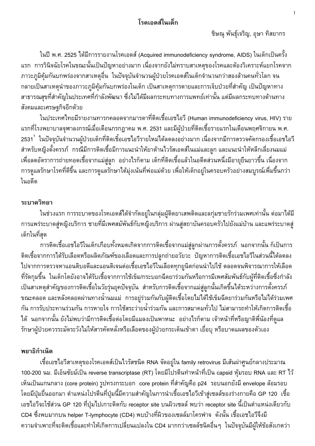# โรคเอดส์ในเด็ก

่ ในปี พ.ศ. 2525 ได้มีการรายงานโรคเอดส์ (Acquired immunodeficiency syndrome, AIDS) ในเด็กเป็นครั้ง แรก การวินิจฉัยโรคในขณะนั้นเป็นปัญหาอย่างมาก เนื่องจากยังไม่ทราบสาเหตุของโรคและต้องวิเคราะห์แยกโรคจาก ่ ภาวะภูมิคุ้มกันบกพร่องจากสาเหตุอื่น ในปัจจุบันจำนวนผู้ป่วยโรคเอดส์ในเด็กจำนวนกว่าสองล้านคนทั่วโลก จน ึกลายเป็นสาเหตุนำของภาวะภูมิคุ้มกันบกพร่องในเด็ก เป็นสาเหตุการตายและการเจ็บป่วยที่สำคัญ เป็นปัญหาทาง ี่สาธารณสุขที่สำคัญในประเทศที่กำลังพัฒนา ซึ่งไม่ได้มีผลกระทบทางการแพทย์เท่านั้น แต่มีผลกระทบทางด้านทาง สังคมและเศรษฐกิจอีกด้วย

่ ในประเทศไทยมีรายงานทารกคลอดจากมารดาที่ติดเชื้อเอชไอวี (Human immunodeficiency virus, HIV) ราย ้แรกที่โรงพยาบาลจุฬาลงกรณ์เมื่อเดือนกรกฎาคม พ.ศ. 2531 และมีผู้ป่วยที่ติดเชื้อรายแรกในเดือนพฤศจิกายน พ.ศ. 2531 <sup>1</sup> ในปัจจุบันจำนวนผู้ป่วยเด็กที่ติดเชิ้อเอชไอวีรายใหม่ได้ลดลงอย่างมาก เนื่องจากมีการตรวจคัดกรองเชื้อเอชไอวี สำหรับหญิงตั้งครรภ์ กรณีมีการติดเชื้อมีการแนะนำให้ยาต้านไวรัสเอดส์ในแม่และลูก และแนะนำให้หลีกเลี่ยงนมแม่ ้เพื่อลดอัตราการถ่ายทอดเชื้อจากแม่สู่ลูก อย่างไรก็ตาม เด็กที่ติดเชื้อแล้วในอดีตส่วนหนึ่งมีอายุยืนยาวขึ้น เนื่องจาก ี การดูแลรักษาโรคที่ดีขึ้น และการดูแลรักษาได้มุ่งเน้นที่พ่อแม่ด้วย เพื่อให้เด็กอยู่ในครอบครัวอย่างสมบูรณ์เพื่มขึ้นกว่า ในกดีต

## ระบาดวิทยา

่ ในช่วงแรก การระบาดของโรคเอดส์ได้จำกัดอยู่ในกลุ่มผู้ติดยาเสพติดและลกุ่มชายรักร่วมเพศเท่านั้น ต่อมาได้มี ้การแพร่ระบาดสู่หญิงบริการ ชายที่มีเพศสมัพันธ์กับหญิงบริการ ผ่านสู่สถาบันครอบครัวไปยังแม่บ้าน และแพร่ระบาดสู่ เด็กในที่สด

ี การติดเชื้อเอชไอวีไนเด็กเกือบทั้งหมดเกิดจากการติดเชื้อจากแม่สู่ลูกผ่านการตั้งครรภ์ นอกจากนั้น ก็เป็นการ ้ติดเชื้อจากการได้รับเลือดหรือผลิตภัณฑ์ของเลือดและการปลูกถ่ายอวัยวะ ปัญหาการติดเชื้อเอชไอวีในส่วนนี้ได้ลดลง ไปจากการตรวจหาแอนติบอดีและแอนติเจนต่อเชื้อเอชไอวีในเลือดทุกยูนิตก่อนนำไปใช้ ตลอดจนพิจารณาการให้เลือด ที่รัดกุมขึ้น ในเด็กโตยังอาจได้รับเชื้อจากการใช้เข็ม/กระบอกฉีดยาร่วมกันหรือการมีเพศสัมพันธ์กับผู้ที่ติดเชื้อซึ่งกำลัง ้เป็นสาเหตุสำคัญของการติดเชื้อในวัยรุ่นยุคปัจจุบัน สำหรับการติดเชื้อจากแม่สู่ลูกนั้นเกิดขึ้นได้ระหว่างการตั้งครรภ์ ขณะคลอด และหลังคลอดผ่านทางน้ำนมแม่ การอยู่ร่วมกันกับผู้ติดเชื้อโดยไม่ได้ใช้เข็มฉีดยาร่วมกันหรือไม่ได้ร่วมเพศ ้กัน การรับประทานร่วมกัน การหายใจ การใช้สระว่ายน้ำร่วมกัน และการสมาคมทั่วไป ไม่สามารถทำให้เกิดการติดเชื้อ ี่ ได้ นอกจากนั้น ยังไม่พบว่ามีการติดเชื้อต่อโดยมีแมลงเป็นพาหนะ อย่างไรก็ตาม เจ้าหน้าที่หรือญาติพี่น้องที่ดูแล รักษาผู้ป่วยควรระมัดระวังไม่ให้สารคัดหลั่งหรือเลือดของผู้ป่วยกระเด็นเข้าตา เยื่อบุ หรือบาดแผลของตัวเอง

## พยาธิกำเนิด

้เชื้อเอชไอวีสาเหตุของโรคเอดส์เป็นไวรัสชนิด RNA จัดอยู่ใน family retrovirus มีเส้นผ่าศูนย์กลางประมาณ 100-200 นม. มีเอ็นซัยม์เป็น reverse transcriptase (RT) โดยมีโปรตีนทำหน้าที่เป็น capsid หุ้มรอบ RNA และ RT ไว้ ูเห็นเป็นแกนกลาง (core protein) รูปทรงกระบอก core protein ที่สำคัญคือ p24 รอบนอกยังมี envelope ล้อมรอบ ์ โดยมีปุ่มยื่นออกมา ตำแหน่งโปรตีนที่ปุ่มนี้มีความสำคัญในการนำเชื้อเอชไอวีเข้าสู่เซลล์ของร่างกายคือ GP 120 เชื้อ ู เอชไอวีจะใช้ส่วน GP 120 ที่ปุ่มไปเกาะติดกับ receptor site บนผิวเซลล์ พบว่า receptor site นี้เป็นตำแหน่งเดียวกับ CD4 ซึ่งพบมากบน helper T-lymphocyte (CD4) พบบ้างที่ผิวของเซลล์มาโครฟาจ ดังนั้น เชื้อเอชไอวีจึงมี ี ความจำเพาะที่จะติดเชื้อและทำให้เกิดการเปลี่ยนแปลงใน CD4 มากกว่าเซลล์ชนิดอื่นๆ ในปัจจุบันมีผู้ให้ข้อสังเกตว่า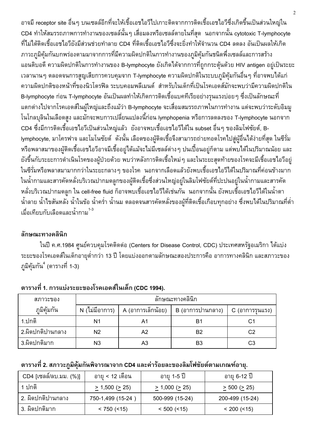อาจมี receptor site อื่นๆ บนเซลล์อีกที่จะให้เชื้อเอชไอวีไปเกาะติดจากการติดเชื้อเอชไอวีซึ่งเกิดขึ้นเป็นส่วนใหญ่ใน CD4 ทำให้สมรรถภาพการทำงานของเซลล์นั้นๆ เสื่อมลงหรือเซลล์ตายในที่สด นอกจากนั้น cytotoxic T-lymphocyte ้ที่ไม่ได้ติดเชื้อเอชไอวียังมีส่วนช่วยทำลาย CD4 ที่ติดเชื้อเอชไอวีซึ่งจะยิ่งทำให้จำนวน CD4 ลดลง อันเป็นผลให้เกิด ้ภาวะภูมิคุ้มกันบกพร่องตามมาจากการที่มีความผิดปกติในการทำงานของภูมิคุ้มกันชนิดพึ่งเซลล์และการสร้าง แอนติบอดี ความผิดปกติในการทำงานของ B-lymphocyte ยังเกิดได้จากการที่ถูกกระตุ้นด้วย HIV antigen อยู่เป็นระยะ ี เวลานานๆ ตลอดจนการสูญเสียการควบคุมจาก T-lymphocyte ความผิดปกติในระบบภูมิคุ้มกันอื่นๆ ที่อาจพบได้แก่ ้ความผิดปกติของหน้าที่ของนิวโตรฟิล ระบบคอมพลีเมนต์ สำหรับในเด็กที่เป็นโรคเอดส์มักจะพบว่ามีความผิดปกติใน B-lymphocyte ก่อน T-lymphocyte อันเป็นผลทำให้เกิดการติดเชื้อแบคทีเรียอย่างรุนแรงบ่อยๆ ซึ่งเป็นลักษณะที่ แตกต่างไปจากโรคเอดส์ในผู้ใหญ่และถึงแม้ว่า B-lymphocyte จะเสื่อมสมรรถภาพในการทำงาน แต่จะพบว่าระดับอิมมู โนโกลบุลินในเลือดสูง และมักจะพบการเปลี่ยนแปลงนี้ก่อน lymphopenia หรือการลดลงของ T-lymphocyte นอกจาก CD4 ซึ่งมีการติดเชื้อเอชไอวีเป็นส่วนใหญ่แล้ว ยังอาจพบเชื้อเอชไอวีได้ใน subset อื่นๆ ของลิมโฟซัยต์, B-Tymphocyte, มาโครฟาจ และโมโนซัยต์ ดังนั้น เลือดของผู้ติดเชื้อจึงสามารถถ่ายทอดโรคไปสู่ผู้อื่นได้ง่ายที่สุด ในซีรั่ม หรือพลาสมาของผู้ติดเชื้อเอชไอวีอาจมีเชื้ออยู่ได้แม้จะไม่มีเซลล์ต่าง ๆ ปนเปื้อนอยู่ก็ตาม แต่พบได้ในปริมาณน้อย และ ้ยังขึ้นกับระยะการดำเนินโรคของผู้ป่วยด้วย พบว่าหลังการติดเชื้อใหม่ๆ และในระยะสุดท้ายของโรคจะมีเชื้อเอชไอวีอยู่ ในซีรั่มหรือพลาสมามากกว่าในระยะกลางๆ ของโรค นอกจากเลือดแล้วยังพบเชื้อเอชไอวีได้ในปริมาณที่ค่อนข้างมาก ในน้ำกามและสารคัดหลั่งบริเวณปากมดลูกของผู้ติดเชื้อซึ่งส่วนใหญ่อยู่ในลิมโฟซัยต์ที่ปะปนอยู่ในน้ำกามและสารคัด หลั่งบริเวณปากมดลูก ใน cell-free fluid ก็อาจพบเชื้อเอชไอวีได้เช่นกัน นอกจากนั้น ยังพบเชื้อเอชไอวีได้ในน้ำตา น้ำลาย น้ำไขสันหลัง น้ำในข้อ น้ำคร่ำ น้ำนม ตลอดจนสารคัดหลั่งของผู้ที่ติดเชื้อเกือบทุกอย่าง ซึ่งพบได้ในปริมาณที่ต่ำ ้<br>เมื่อเทียบกับเลือดและน้ำกาม <sup>1-3</sup>

### ลักษณะทางคลินิก

่ ในปี ค.ศ.1984 ศูนย์ควบคุมโรคติดต่อ (Centers for Disease Control, CDC) ประเทศสหรัฐอเมริกา ได้แบ่ง ระยะของโรคเอดส์ในเด็กอายุต่ำกว่า 13 ปี โดยแบ่งออกตามลักษณะสองประการคือ อาการทางคลินิก และสภาวะของ ภูมิคุ้มกัน ึ (ตารางที่ 1-3)

| สภาวะของ         | ลักษณะทางคลินิก                      |                 |    |    |  |
|------------------|--------------------------------------|-----------------|----|----|--|
| ภมิคัมกัน        | $N$ (ไม่มีอาการ)   A (อาการเล็กน้อย) | C (อาการรุนแรง) |    |    |  |
| 1.ปกติ           | N1                                   | Α1              | Β1 |    |  |
| 2.ผิดปกติปานกลาง | N <sub>2</sub>                       | A2              | B2 | C2 |  |
| 3.ผิดปกติมาก     | N <sub>3</sub>                       | A3              | B3 | C3 |  |

### ี ตารางที่ 1. การแบ่งระยะของโรคเอดส์ในเด็ก (CDC 1994).

### ี ตารางที่ 2. สภาวะภูมิคุ้มกันพิจารณาจาก CD4 และค่าร้อยละของลิมโฟชัยต์ตามเกณฑ์อายุ.

| CD4 [เซลล์/ลบ.มม. (%)] | อายุ < 12 เดือน           | อายุ 1-5 ปี               | ่อายุ 6-12 ปี            |
|------------------------|---------------------------|---------------------------|--------------------------|
| 1 ปกติ                 | $\geq$ 1,500 ( $\geq$ 25) | $\geq$ 1,000 ( $\geq$ 25) | $\geq 500$ ( $\geq 25$ ) |
| ่ 2. ผิดปกติปานกลาง    | 750-1,499 (15-24          | 500-999 (15-24)           | 200-499 (15-24)          |
| 3. ผิดปกติมาก          | $< 750$ (<15)             | $< 500$ ( $< 15$ )        | $< 200$ ( $< 15$ )       |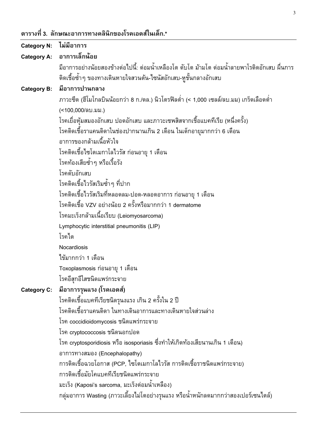ตารางที่ 3. ลักษณะอาการทางคลินิกของโรคเอดส์ในเด็ก.\*

| <b>Category N:</b> | ไม่มีอาการ                                                                                     |
|--------------------|------------------------------------------------------------------------------------------------|
|                    | Category A: อาการเล็กน้อย                                                                      |
|                    | ้มีอาการอย่างน้อยสองข้างต่อไปนี้: ต่อมน้ำเหลืองโต ตับโต ม้ามโต ต่อมน้ำลายพาโรติดอักเสบ ผื่นการ |
|                    | ติดเชื้อซ้ำๆ ของทางเดินหายใจสวนต้น-ไซนัสอักเสบ-หูชั้นกลางอักเสบ                                |
| <b>Category B:</b> | มือาการปานกลาง                                                                                 |
|                    | ภาวะซีด (ฮีโมโกลบินน้อยกว่า 8 ก./ดล.) นิวโตรฟิลต่ำ (< 1,000 เซลล์/ลบ.มม) เกร็ดเลือดต่ำ         |
|                    | (<100,000/ลบ.มม.)                                                                              |
|                    | โรคเยื่อหุ้มสมองอักเสบ ปอดอักเสบ และภาวะเซพสิสจากเชื้อแบคทีเรีย (หนึ่งครั้ง)                   |
|                    | โรคติดเชื้อราแคนดิดาในช่องปากนานเกิน 2 เดือน ในเด็กอายุมากกว่า 6 เดือน                         |
|                    | อาการของกล้ามเนื้อหัวใจ                                                                        |
|                    | โรคติดเชื้อไซโตเมกาโลไวรัส ก่อนอายุ 1 เดือน                                                    |
|                    | โรคท้องเสียซ้ำๆ หรือเรื้อรัง                                                                   |
|                    | โรคตับอักเสบ                                                                                   |
|                    | โรคติดเชื้อไวรัสเริมซ้ำๆ ที่ปาก                                                                |
|                    | โรคติดเชื้อไวรัสเริมที่หลอดลม-ปอด-หลอดอาการ ก่อนอายุ 1 เดือน                                   |
|                    | โรคติดเชื้อ VZV อย่างน้อย 2 ครั้งหรือมากกว่า 1 dermatome                                       |
|                    | โรคมะเร็งกล้ามเนื้อเรียบ (Leiomyosarcoma)                                                      |
|                    | Lymphocytic interstitial pneumonitis (LIP)                                                     |
|                    | โรคไต                                                                                          |
|                    | Nocardiosis                                                                                    |
|                    | ไข้มากกว่า 1 เดือน                                                                             |
|                    | Toxoplasmosis ก่อนอายุ 1 เดือน                                                                 |
|                    | โรคอีสุกอีใสชนิดแพร่กระจาย                                                                     |
| <b>Category C:</b> | มือาการรุนแรง (โรคเอดส์)                                                                       |
|                    | โรคติดเชื้อแบคทีเรียชนิดรุนงแรง เกิน 2 ครั้งใน 2 ปี                                            |
|                    | โรคติดเชื้อราแคนดิดา ในทางเดินอาการและทางเดินหายใจส่วนล่าง                                     |
|                    | โรค coccidioidomycosis ชนิดแพร่กระจาย                                                          |
|                    | โรค cryptococcosis ชนิดนอกปอด                                                                  |
|                    | โรค cryptosporidiosis หรือ isosporiasis ซึ่งทำให้เกิดท้องเสียนานเกิน 1 เดือน)                  |
|                    | อาการทางสมอง (Encephalopathy)                                                                  |
|                    | การติดเชื้อฉวยโอกาส (PCP, ไซโตเมกาโลไวรัส การติดเชื้อราชนิดแพร่กระจาย)                         |
|                    | การติดเชื้อมัยโคแบคทีเรียชนิดแพร่กระจาย                                                        |
|                    | มะเร็ง (Kaposi's sarcoma, มะเร็งต่อมน้ำเหลือง)                                                 |
|                    | ึกลุ่มอาการ Wasting (ภาวะเลี้ยงไม่โตอย่างรุนแรง หรือน้ำหนักลดมากกว่าสองเปอร์เซนไตล์)           |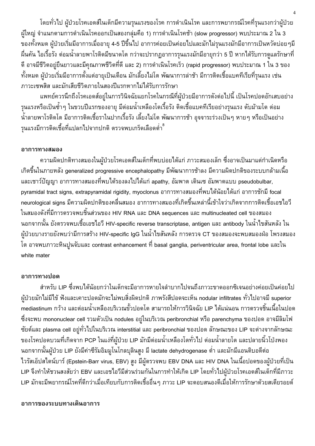โดยทั่วไป ผู้ป่วยโรคเอดส์ในเด็กมีความรุนแรงของโรค การดำเนินโรค และการพยากรณ์โรคที่รุนแรงกว่าผู้ป่วย ้ผู้ใหญ่ จำแนกตามการดำเนินโรคออกเป็นสองกลุ่มคือ 1) การดำเนินโรคช้า (slow progressor) พบประมาณ 2 ใน 3 ของทั้งหมด ผู้ป่วยเริ่มมีอาการเมื่ออายุ 4-5 ปีขึ้นไป อาการค่อยเป็นค่อยไปและมักไม่รุนแรงมักมีอาการเป็นหวัดบ่อยๆมี ้ผื่นคัน ไอเรื้อรัง ต่อมน้ำลายพาโรติดมีขนาดโต กว่าจะปรากฏอาการรุนแรงมักมีอายุกว่า 5 ปี หากได้รับการดูแลรักษาที ดี อาจมีชีวิตอยู่ยืนยาวและมีคุณภาพชีวิตที่ดี และ 2) การดำเนินโรคเร็ว (rapid progressor) พบประมาณ 1 ใน 3 ของ ้ทั้งหมด ผู้ป่วยเริ่มมีอาการตั้งแต่อายุเป็นเดือน มักเลี้ยงไม่โต พัฒนาการล่าช้า มีการติดเชื้อแบคทีเรียที่รุนแรง เช่น ภาวะเซพสิส และมักเสียชีวิตภายในสองปีแรกหากไม่ได้รับการรักษา

แพทย์ควรนึกถึงโรคเอดส์อยู่ในการวินิจฉัยแยกโรคในกรณีที่ผู้ป่วยมีอาการดังต่อไปนี้ เป็นโรคปอดอักเสบอย่าง รุนแรงหรือเป็นซ้ำๆ ในขวบปีแรกของอายุ มีต่อมน้ำเหลืองโตเรื้อรัง ติดเชื้อแบคทีเรียอย่างรุนแรง ตับม้ามโต ต่อม ้น้ำลายพาโรติดโต มีอาการติดเชื้อราในปากเรื้อรัง เลี้ยงไม่โต พัฒนาการช้า อุจจาระร่วงเป็นๆ หายๆ หรือเป็นอย่าง รุนแรงมีการติดเชื้อที่แปลกไปจากปกติ ตรวจพบเกร็ดเลือดต่ำ

#### อาการทางสมอง

้ความผิดปกติทางสมองในผู้ป่วยโรคเอดส์ในเด็กที่พบบ่อยได้แก่ ภาวะสมองเล็ก ซึ่งอาจเป็นมาแต่กำเนิดหรือ ้เกิดขึ้นในภายหลัง generalized progressive encephalopathy มีพัฒนาการช้าลง มีความผิดปกติของระบบกล้ามเนื้อ และเชาว์ปัญญา อาการทางสมองที่พบได้รองลงไปได้แก่ apathy, อัมพาต เดินเซ อัมพาตแบบ pseudobulbar, pyramidal tract signs, extrapyramidal rigidity, myoclonus อาการทางสมองที่พบได้น้อยได้แก่ อาการชักมี focal neurological signs มีความผิดปกติของคลื่นสมอง อาการทางสมองที่เกิดขึ้นเหล่านี้เข้าใจว่าเกิดจากการติดเชื้อเอชไอวี ่ ในสมองดังที่มีการตรวจพบชิ้นส่วนของ HIV RNA และ DNA sequences และ multinucleated cell ของสมอง ุ นอกจากนั้น ยังตรวจพบเชื้อเอชไอวี HIV-specific reverse transcriptase, antigen และ antibody ในน้ำไขสันหลัง ใน ผู้ป่วยบางรายยังพบว่ามีการสร้าง HIV-specific IgG ในน้ำไขสันหลัง การตรวจ CT ของสมองจะพบสมองฝ่อ โพรงสมอง ์โต อาจพบภาวะหินปูนจับและ contrast enhancement ที่ basal ganglia, periventricular area, frontal lobe และใน white mater

#### อาการทางปอด

ี่ สำหรับ LIP ซึ่งพบได้น้อยกว่าในเด็กจะมีอาการหายใจลำบากไปจนถึงภาวะขาดออกซิเจนอย่างค่อยเป็นค่อยไป ผู้ป่วยมักไม่มีไข้ ฟังและเคาะปอดมักจะไม่พบสิ่งผิดปกติ ภาพรังสีปอดจะเห็น nodular infiltrates ทั่วไปอาจมี superior mediastinum กว้าง และต่อมน้ำเหลืองบริเวณขั้วปอดโต สามารถให้การวินิจฉัย LIP ได้แน่นอน การตรวจชิ้นเนื้อในปอด ซึ่งจะพบ mononuclear cell รวมตัวเป็น nodules อยู่ในบริเวณ peribronchial หรือ parenchyma ของปอด อาจมีลิมโฟ ซัยต์และ plasma cell อยู่ทั่วไปในบริเวณ interstitial และ peribronchial ของปอด ลักษณะของ LIP จะต่างจากลักษณะ ของโรคปอดบวมที่เกิดจาก PCP ในแง่ที่ผู้ป่วย LIP มักมีต่อมน้ำเหลืองโตทั่วไป ต่อมน้ำลายโต และปลายนิ้วโป่งพอง ็นอกจากนั้นผู้ป่วย LIP ยังมีค่าซีรัมอิมมูโนโกลบุลินสูง มี lactate dehydrogenase ต่ำ และมักมีแอนติบอดีต่อ ไวรัสเอ็ปสไตน์บาร์ (Epstein-Barr virus, EBV) สูง มีผู้ตรวจพบ EBV DNA และ HIV DNA ในเนื้อปอดของผู้ป่วยที่เป็น LIP จึงทำให้ชวนสงสัยว่า EBV และเอชไอวีมีส่วนร่วมกันในการทำให้เกิด LIP โดยทั่วไปผู้ป่วยโรคเอดส์ในเด็กที่มีภาวะ LIP มักจะมีพยากรณ์โรคที่ดีกว่าเมื่อเทียบกับการติดเชื้ออื่นๆ ภาวะ LIP จะตอบสนองดีเมื่อให้การรักษาด้วยสเตียรอยด์

#### อาการของระบบทางเดินอาการ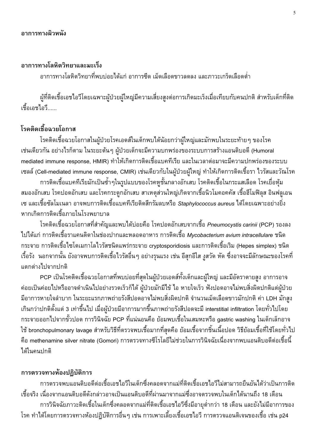#### อาการทางโลหิตวิทยาและมะเร็ง

้อาการทางโลหิตวิทยาที่พบบ่อยได้แก่ อาการซีด เม็ดเลือดขาวลดลง และภาวะเกร็ดเลือดต่ำ

ผู้ที่ติดเชื้อเอชไอวีโดยเฉพาะผู้ป่วยผู้ใหญ่มีความเสี่ยงสูงต่อการเกิดมะเร็งเมื่อเทียบกับคนปกติ สำหรับเด็กที่ติด เชื้อเอชไอวี

# โรคติดเชื้อฉวยโอกาส

โรคติดเชื้อฉวยโอกาสในผู้ป่วยโรคเอดส์ในเด็กพบได้น้อยกว่าผู้ใหญ่และมักพบในระยะท้ายๆ ของโรค เช่นเดียวกัน อย่างไรก็ตาม ในระยะต้นๆ ผู้ป่วยเด็กจะมีความบกพร่องของระบบการสร้างแอนติบอดี (Humoral mediated immune response, HMIR) ทำให้เกิดการติดเชื้อแบคทีเรีย และในเวลาต่อมาจะมีความปกพร่องของระบบ ู้ เซลล์ (Cell-mediated immune response, CMIR) เช่นเดียวกับในผู้ป่วยผู้ใหญ่ ทำให้เกิดการติดเชื้อรา ไวรัสและวัณโรค

การติดเชื้อแบคทีเรียมักเป็นซ้ำ ๆในรูปแบบของโรคหูชั้นกลางอักเสบ โรคติดเชื้อในกระแสเลือด โรคเยื่อหุ้ม ี่สมองอักเสบ โรคปอดอักเสบ และโรคกระดูกอักเสบ สาเหตุส่วนใหญ่เกิดจากเชื้อนิวโมคอคคัส เชื้อฮีโมฟิลุส อินฟลูเอน ูเซ และเชื้อซัลโมเนลา อาจพบการติดเชื้อแบคทีเรียติดสีกรัมลบหรือ *Staphylococcus aureus* ได้โดยเฉพาะอย่างยิ่ง หากเกิดการติดเชื้อภายในโรงพยาบาล

โรคติดเชื้อฉวยโอกาสที่สำคัญและพบได้บ่อยคือ โรคปอดอักเสบจากเชื้อ *Pneumocystis carinii (*PCP) รองลง ไปได้แก่ การติดเชื้อราแคนดิดาในช่องปากและหลอดอาหาร การติดเชื้อ Mvcobacterium avium intracellulare ชนิด ้กระจาย การติดเชื้อไซโตเมกาโลไวรัสชนิดแพร่กระจาย cryptosporidiosis และการติดเชื้อเริม (Hepes simplex) ชนิด เรื้อรัง นอกจากนั้น ยังอาจพบการติดเชื้อไวรัสอื่นๆ อย่างรุนแรง เช่น อีสุกอีใส งูสวัด หัด ซึ่งอาจจะมีลักษณะของโรคที่ แตกต่างไปจากปกติ

PCP เป็นโรคติดเชื้อฉวยโอกาสที่พบบ่อยที่สุดในผู้ป่วยเอดส์ทั้งเด็กและผู้ใหญ่ และมีอัตราตายสูง อาการอาจ ้ค่อยเป็นค่อยไปหรืออาจดำเนินไปอย่างรวดเร็วก็ได้ ผู้ป่วยมักมีไข้ ไอ หายใจเร็ว ฟังปอดอาจไม่พบสิ่งผิดปกติแต่ผู้ป่วย มีอาการหายใจลำบาก ในระยะแรกภาพถ่ายรังสีปอดอาจไม่พบสิ่งผิดปกติ จำนวนเม็ดเลือดขาวมักปกติ ค่า LDH มักสูง ้เกินกว่าปกติตั้งแต่ 3 เท่าขึ้นไป เมื่อผู้ป่วยมีอาการมากขึ้นภาพถ่ายรังสีปอดจะมี interstitial infiltration โดยทั่วไปโดย ้กระจายออกไปจากขั้วปอด การวินิจฉัย PCP ที่แน่นอนคือ ย้อมพบเชื้อในเสมหะหรือ gastric washing ในเด็กเล็กอาจ ใช้ bronchopulmonary lavage สำหรับวิธีที่ตรวจพบเชื้อมากที่สุดคือ ย้อมเชื้อจากชิ้นเนื้อปอด วิธีย้อมเชื้อที่ใช้โดยทั่วไป ้คือ methenamine silver nitrate (Gomori) การตรวจทางซีโรโลยีไม่ช่วยในการวินิจฉัยเนื่องจากพบแอนติบอดีต่อเชื้อนี้ ได้ในคนปกติ

#### การตรวจทางห้องปฏิบัติการ

การตรวจพบแอนติบอดีต่อเชื้อเอชไอวีในเด็กซึ่งคลอดจากแม่ที่ติดเชื้อเอชไอวีไม่สามารถยืนยันได้ว่าเป็นการติด เชื้อจริง เนื่องจากแอนติบอดีดังกล่าวอาจเป็นแอนติบอดีที่ผ่านมาจากแม่ซึ่งอาจตรวจพบในเด็กได้นานถึง 18 เดือน การวินิจฉัยภาวะติดเชื้อในเด็กซึ่งคลอดจากแม่ที่ติดเชื้อเอชไอวีซึ่งมีอายุต่ำกว่า 18 เดือน และยังไม่มีอาการของ ์ โรค ทำได้โดยการตรวจทางห้องปฏิบัติการอื่นๆ เช่น การเพาะเลี้ยงเชื้อเอชไอวี การตรวจแอนติเจนของเชื้อ เช่น p24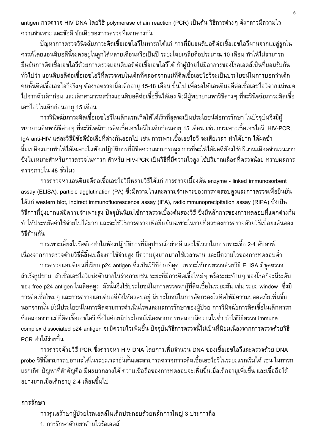antigen การตรวจ HIV DNA โดยวิธี polymerase chain reaction (PCR) เป็นต้น วิธีการต่างๆ ดังกล่าวมีความไว ้ความจำเพาะ และข้อดี ข้อเสียของการตรวจที่แตกต่างกัน

้ปัญหาการตรวจวินิจฉัยภาวะติดเชื้อเอชไอวีในทารกได้แก่ การที่มีแอนติบอดีต่อเชื้อเอชไอวีผ่านจากแม่สู่ลูกใน ์<br>ครรภ์โดยแอนติบอดีนี้จะคงอยู่ในลูกได้หลายเดือนหรือเป็นปี ระยะโดยเฉลี่ยคือประมาณ 10 เดือน ทำให้ไม่สามารถ ยืนยันการติดเชื้อเอชไอวีด้วยการตรวจแอนติบอดีต่อเชื้อเอชไอวีได้ ถ้าผู้ป่วยไม่มีอาการของโรคเอดส์เป็นที่ยอมรับกัน ้ทั่วไปว่า แอนติบอดีต่อเชื้อเอชไอวีที่ตรวจพบในเด็กที่คลอดจากแม่ที่ติดเชื้อเอชไอวีจะเป็นประโยชน์ในการบอกว่าเด็ก ้คนนั้นติดเชื้อเอชไอวีจริงๆ ต้องรอตรวจเมื่อเด็กอายุ 15-18 เดือน ขึ้นไป เพื่อรอให้แอนติบอดีต่อเชื้อเอชไอวีจากแม่หมด ไปจากตัวเด็กก่อน และเด็กสามารถสร้างแอนติบอดีต่อเชื้อขึ้นได้เอง จึงมีผู้พยายามหาวิธีต่างๆ ที่จะวินิจฉัยภาวะติดเชื้อ เอชไอวีในเด็กก่อนอายุ 15 เดือน

การวินิจฉัยภาวะติดเชื้อเอชไอวีในเด็กแรกเกิดให้ได้เร็วที่สุดจะเป็นประโยชน์ต่อการรักษา ในปัจจุบันจึงมีผู้ ี พยายามคิดหาวิธีต่างๆ ที่จะวินิจฉัยการติดเชื้อเอชไอวีในเด็กก่อนอายุ 15 เดือน เช่น การเพาะเชื้อเอชไอวี, HIV-PCR, IgA anti-HIV แต่ละวิธีมีข้อดีข้อเสียที่ต่างกันออกไป เช่น การเพาะเชื้อเอชไอวี จะเสียเวลา ทำได้ยาก ได้ผลช้า ้สิ้นเปลืองมากทำให้ได้เฉพาะในห้องปฏิบัติการที่มีขีดความสามารถสูง การที่จะให้ได้ผลดีต้องใช้ปริมาณเลือดจำนวนมาก ซึ่งไม่เหมาะสำหรับการตรวจในทารก สำหรับ HIV-PCR เป็นวิธีที่มีความไวสูง ใช้ปริมาณเลือดที่ตรวจน้อย ทราบผลการ ตรวจภายใน 48 ชั่วโมง

ิการตรวจหาแอนติบอดีต่อเชื้อเอชไอวีมีหลายวิธีได้แก่ การตรวจเบื้องต้น enzyme - linked immunosorbent assay (ELISA), particle agglutination (PA) ซึ่งมีความไวและความจำเพาะของการทดสอบสูงและการตรวจเพื่อยืนยัน ได้แก่ western blot, indirect immunofluorescence assay (IFA), radioimmunoprecipitation assay (RIPA) ซึ่งเป็น วิธีการที่ยุ่งยากแต่มีความจำเพาะสูง ปัจจุบันนิยมใช้การตรวจเบื้องต้นสองวิธี ซึ่งมีหลักการของการทดสอบที่แตกต่างกัน ทำให้ประหยัดค่าใช้จ่ายไปได้มาก และจะใช้วิธีการตรวจเพื่อยืนยันเฉพาะในรายที่ผลของการตรวจด้วยวิธีเบื้อยงต้นสอง วิธีด้านกัน

้การเพาะเลี้ยงไวรัสต้องทำในห้องปฏิบัติการที่มีอุปกรณ์อย่างดี และใช้เวลาในการเพาะเชื้อ 2-4 สัปดาห์ เนื่องจากการตรวจด้วยวิธีนี้สิ้นเปลืองค่าใช้จ่ายสูง มีความยุ่งยากมากใช้เวลานาน และมีความไวของการทดสอบต่ำ

การตรวจแอนติเจนที่เรียก p24 antigen ซึ่งเป็นวิธีที่ง่ายที่สุด เพราะใช้การตรวจด้วยวิธี ELISA มีชุดตรวจ ้สำเร็จรูปขาย ถ้าเชื้อเอชไอวีแบ่งตัวมากในร่างกายเช่น ระยะที่มีการติดเชื้อใหม่ๆ หรือระยะท้ายๆ ของโรคก็จะมีระดับ ของ free p24 antigen ในเลือดสูง ดังนั้นจึงใช้ประโยชน์ในการตรวจหาผู้ที่ติดเชื้อในระยะต้น เช่น ระยะ window ซึ่งมี การติดเชื้อใหม่ๆ และการตรวจแอนติบอดียังให้ผลลบอยู่ มีประโยชน์ในการคัดกรองโลหิตให้มีความปลอดภัยเพิ่มขึ้น ้นอกจากนั้น ยังมีประโยชน์ในการติดตามการดำเนินโรคและผลการรักษาของผู้ป่วย การวินิจฉัยการติดเชื้อในเด็กทารก ้ซึ่งคลอดจากแม่ที่ติดเชื้อเอชไอวี ซึ่งไม่ค่อยมีประโยชน์เนื่องจากการทดสอบมีความไวต่ำ ถ้าใช้วิธีตรวจ immune complex dissociated p24 antigen จะมีความไวเพิ่มขึ้น ปัจจุบันวิธีการตรวจนี้ไม่เป็นที่นิยมเนื่องจากการตรวจด้วยวิธี PCR ทำได้ง่ายขึ้น

การตรวจด้วยวิธี PCR ซึ่งตรวจหา HIV DNA โดยการเพิ่มจำนวน DNA ของเชื้อเอชไอวีและตรวจด้วย DNA probe วิธีนี้สามารถบอกผลได้ในระยะเวลาอันสั้นและสามารถตรวจภาวะติดเชื้อเอชไอวีในระยะแรกเริ่มได้ เช่น ในทารก ้แรกเกิด ปัญหาที่สำคัญคือ มีผลบวกลวงได้ ความเชื่อถือของการทดสอบจะเพิ่มขึ้นเมื่อเด็กอายุเพิ่มขึ้น และเชื้อถือได้ ้อย่างมากเมื่อเด็กอายุ 2-4 เดือนขึ้นไป

#### การรักษา

การดูแลรักษาผู้ป่วยโรคเอดส์ในเด็กประกอบด้วยหลักการใหญ่ 3 ประการคือ 1 การรักษาด้วยยาต้านไวรัสเอดส์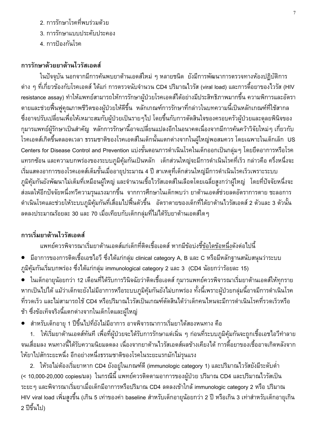- 2. การรักษาโรคที่พบร่วมด้วย
- 3 การรักษาแบบประดับประคอง
- 4. การป้องกันโรค

## การรักษาด้วยยาต้านไวรัสเอดส์

ในปัจจุบัน นอกจากมีการค้นพบยาต้านเอดส์ใหม่ ๆ หลายชนิด ยังมีการพัฒนาการตรวจทางห้องปฏิบัติการ ี่ ต่าง ๆ ที่เกี่ยวข้องกับโรคเอดส์ ได้แก่ การตรวจนับจำนวน CD4 ปริมาณไวรัส (viral load) และการดื้อยาของไวรัส (HIV resistance assay) ทำให้แพทย์สามารถให้การรักษาผู้ป่วยโรคเอดส์ได้อย่างมีประสิทธิภาพมากขึ้น ความพิการและอัตรา ้ตายและช่วยฟื้นฟูคุณภาพชีวิตของผู้ป่วยให้ดีขึ้น หลักเกณฑ์การรักษาที่กล่าวในบทความนี้เป็นหลักเกณฑ์ที่ใช้สากล ซึ่งอาจปรับเปลี่ยนเพื่อให้เหมาะสมกับผู้ป่วยเป็นรายๆไป โดยขึ้นกับการตัดสินใจของครอบครัวผู้ป่วยและดุลยพินิจของ กุมารแพทย์ผู้รักษาเป็นสำคัญ หลักการรักษานี้อาจเปลี่ยนแปลงอีกในอนาคตเนื่องจากมีการค้นคว้าวิจัยใหม่ ๆ เกี่ยวกับ โรคเอดส์เกิดขึ้นตลอดเวลา ธรรมชาติของโรคเอดส์ในเด็กนั้นแตกต่างจากในผู้ใหญ่พอสมควร โดยเฉพาะในเด็กเล็ก US Centers for Disease Control and Prevention แบ่งขั้นตอนการดำเนินโรคในเด็กออกเป็นกลุ่มๆ โดยยึดอาการหรือโรค ้แทรกซ้อน และความบกพร่องของระบบภูมิคุ้มกันเป็นหลัก เด็กส่วนใหญ่จะมีการดำเนินโรคที่เร็ว กล่าวคือ ครึ่งหนึ่งจะ เริ่มแสดงอาการของโรคเอดส์เต็มขั้นเมื่ออายุประมาณ 4 ปี สาเหตุที่เด็กส่วนใหญ่มีการดำเนินโรคเร็วเพราะระบบ ภูมิคุ้มกันยังพัฒนาไม่เต็มที่เหมือนผู้ใหญ่ และจำนวนเชื้อไวรัสเอดส์ในเลือดโดยเฉลี่ยสูงกว่าผู้ใหญ่ โดยที่ปัจจัยหนึ่งจะ ส่งผลให้อีกปัจจัยหนึ่งทวีความรุนแรงมากขึ้น จากการศึกษาในเด็กพบว่า ยาต้านเอดส์ช่วยลดอัตราการตาย ชะลอการ ดำเนินโรคและช่วยให้ระบบภูมิคุ้มกันที่เสื่อมไปพื้นตัวขึ้น อัตราตายของเด็กที่ได้ยาต้านไวรัสเอดส์ 2 ตัวและ 3 ตัวนั้น ิลดลงประมาณร้อยละ 30 และ 70 เมื่อเทียบกับเด็กกลุ่มที่ไม่ได้รับยาต้านเอดส์ใดๆ

## การเริ่มยาต้านไวรัสเอดส์

แพทย์ควรพิจารณาเริ่มยาต้านเอดส์แก่เด็กที่ติดเชื้อเอดส์ หากมีข้อบ่งชี้ข้อใดข้อหนึ่งดังต่อไปนี้

- มีอาการของการติดเชื้อเอชไอวี ซึ่งได้แก่กลุ่ม clinical category A, B และ C หรือมีหลักฐานสนับสนุนว่าระบบ ึ่ภูมิคุ้มกันเริ่มบกพร่อง ซึ่งได้แก่กลุ่ม immunological category 2 และ 3 (CD4 น้อยกว่ารัอยละ 15)
- ในเด็กอายุน้อยกว่า 12 เดือนที่ได้รับการวินิจฉัยว่าติดเชื้อเอดส์ กุมารแพทย์ควรพิจารณาเริ่มยาต้านเอดส์ให้ทุกราย หากเป็นไปได้ แม้ว่าเด็กจะยังไม่มีอาการหรือระบบภูมิคุ้มกันยังไม่บกพร่อง ทั้งนี้เพราะผู้ป่วยกลุ่มนี้อาจมีการดำเนินโรค ้ที่รวดเร็ว และไม่สามารถใช้ CD4 หรือปริมาณไวรัสเป็นเกณฑ์ตัดสินได้ว่าเด็กคนไหนจะมีการดำเนินโรคที่รวดเร็วหรือ ช้า ซึ่งข้อเท็จจริงนี้แตกต่างจากในเด็กโตและผู้ใหญ่
- สำหรับเด็กอายุ 1 ปีขึ้นไปที่ยังไม่มีอาการ อาจพิจารณาการเริ่มยาได้สองหนทาง คือ

1. ให้เริ่มยาต้านเอดส์ทันที เพื่อที่ผู้ป่วยจะได้รับการรักษาแต่เนิ่น ๆ ก่อนที่ระบบภูมิคุ้มกันจะถูกเชื้อเอชไอวีทำลาย ้จนเสื่อมลง หนทางนี้ได้รับความนิยมลดลง เนื่องจากยาต้านไวรัสเอดส์ผลข้างเคียงได้ การดื้อยาของเชื้ออาจเกิดหลังจาก ให้ยาไปสักระยะหนึ่ง อีกอย่างหนึ่งธรรมชาติของโรคในระยะแรกมักไม่รุนแรง

2. ให้รอไม่ต้องเริ่มยาหาก CD4 ยังอยู่ในเกณฑ์ดี (immunologic category 1) และปริมาณไวรัสยังมีระดับต่ำ (< 10,000-20,000 copies/มล) ในกรณีนี้ แพทย์ควรติดตามอาการของผู้ป่วย ปริมาณ CD4 และปริมาณไวรัสเป็น ระยะๆ และพิจารณาเริ่มยาเมื่อเด็กมีอาการหรือปริมาณ CD4 ลดลงเข้าใกล้ immunologic category 2 หรือ ปริมาณ HIV viral load เพิ่มสูงขึ้น (เกิน 5 เท่าของค่า baseline สำหรับเด็กอายุน้อยกว่า 2 ปี หรือเกิน 3 เท่าสำหรับเด็กอายุเกิน 2 ปีขึ้นไป)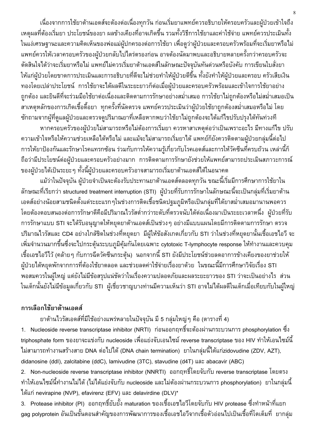เนื่องจากการใช้ยาต้านเอดส์จะต้องต่อเนื่องทุกวัน ก่อนเริ่มยาแพทย์ควรอธิบายให้ครอบครัวและผู้ป่วยเข้าใจถึง ้ เหตุผลที่ต้องเริ่มยา ประโยชน์ของยา ผลข้างเคียงที่อาจเกิดขึ้น รวมทั้งวิธีการใช้ยาและค่าใช้จ่าย แพทย์ควรประเมินทั้ง ่ ในแง่เศรษฐานะและความคิดเห็นของพ่อแม่ผู้ปกครองต่อการใช้ยา เพื่อดูว่าผู้ป่วยและครอบครัวพร้อมที่จะเริ่มยาหรือไม่ แพทย์ควรให้เวลาครอบครัวของผู้ป่วยกลับไปไตร่ตรองก่อน อาจต้องนัดมาพบและอธิบายหลายครั้งกว่าครอบครัวจะ ้ตัดสินใจได้ว่าจะเริ่มยาหรือไม่ แพทย์ไม่ควรเริ่มยาต้านเอดส์ในลักษณะปัจจุบันทันด่วนหรือบังคับ การเขียนใบสั่งยา ให้แก่ผู้ป่วยโดยขาดการประเมินและการอธิบายที่ดีจะไม่ช่วยทำให้ผู้ป่วยดีขึ้น ทั้งยังทำให้ผู้ป่วยและครอบ ครัวเสียเงิน ้ทองโดยเปล่าประโยชน์ การใช้ยาจะได้ผลดีในระยะยาวก็ต่อเมื่อผู้ป่วยและครอบครัวพร้อมและเข้าใจการใช้ยาอย่าง ้ถูกต้อง และยินดีที่จะร่วมมือใช้ยาต่อเนื่องและติดตามการรักษาอย่างสม่ำเสมอ การใช้ยาไม่ถูกต้องหรือไม่สม่ำเสมอเป็น ี สาเหตุหลักของการเกิดเชื้อดื้อยา ทุกครั้งที่นัดตรวจ แพทย์ควรประเมินว่าผู้ป่วยใช้ยาถูกต้องสม่ำเสมอหรือไม่ โดย ชักถามจากผู้ที่ดูแลผู้ป่วยและตรวจดูปริมาณยาที่เหลือหากพบว่าใช้ยาไม่ถูกต้องจะได้แก้ไขปรับปรุงได้ทันท่วงที

หากครอบครัวของผู้ป่วยไม่สามารถหรือไม่ต้องการเริ่มยา ควรหาสาเหตุต่อว่าเป็นเพราะอะไร มีทางแก้ไข ปรับ ้ความเข้าใจหรือให้ความช่วยเหลือได้หรือไม่ และแม้จะไม่สามารถเริ่มยาได้ แพทย์ก็ยังควรติดตามผู้ป่วยกลุ่มนี้ต่อไป ึการให้ยาป้องกันและรักษาโรคแทรกซ้อน ร่วมกับการให้ความรู้เกี่ยวกับโรคเอดส์และการให้วัคซีนที่ครบถ้วน เหล่านี้ก็ ้ถือว่ามีประโยชน์ต่อผู้ป่วยและครอบครัวอย่างมาก การติดตามการรักษายังช่วยให้แพทย์สามารถประเมินสภาวะการณ์ ของผู้ป่วยได้เป็นระยะ ๆ ทั้งนี้ผู้ป่วยและครอบครัวอาจสามารถเริ่มยาต้านเอดส์ได้ในอนาคต

แม้ว่าในปัจจุบัน ผู้ป่วยจำเป็นจะต้องรับประทานยาต้านเอดส์ตลอดทุกวัน ขณะนี้เริ่มมีการศึกษาการใช้ยาใน ี ลักษณะที่เรียกว่า structured treatment interruption (STI) ผู้ป่วยที่รับการรักษาในลักษณะนี้จะเป็นกลุ่มที่เริ่มยาต้าน เอดส์อย่างน้อยสามชนิดตั้งแต่ระยะแรกๆในช่วงการติดเชื้อชนิดปฐมภูมิหรือเป็นกลุ่มที่ได้ยาสม่ำเสมอมานานพอควร โดยต้องตอบสนองต่อการรักษาดีคือมีปริมาณไวรัสต่ำกว่าระดับที่ตรวจนับได้ต่อเนื่องมาเป็นระยะเวลาหนึ่ง ผู้ป่วยที่รับ การรักษาแบบ STI จะได้รับอนุญาตให้หยุดยาต้านเอดส์เป็นช่วงๆ อย่างมีแบบแผนโดยมีการติดตามการรักษา ตรวจ ปริมาณไวรัสและ CD4 อย่างใกล้ชิดในช่วงที่หยุดยา มีผู้ให้ข้อสังเกตเกี่ยวกับ STI ว่าในช่วงที่หยุดยานั้นเชื้อเอชไอวี จะ ้เพิ่มจำนวนมากขึ้นซึ่งจะไปกระตุ้นระบบภูมิคุ้มกันโดยเฉพาะ cytotoxic T-lymphocyte response ให้ทำงานและควบคุม ้เชื้อเอชไอวีไว้ (คล้ายๆ กับการฉีดวัคซีนกระตุ้น) นอกจากนี้ STI ยังมีประโยชน์ช่วยลดอาการข้างเคียงของยาช่วยให้ ผู้ป่วยได้หยุดพักจากการที่ต้องใช้ยาตลอด และช่วยลดค่าใช้จ่ายเรื่องยาด้วย ในขณะนี้มีการศึกษาวิจัยเรื่อง STI ี พอสมควรในผู้ใหญ่ แต่ยังไม่มีข้อสรุปแน่ชัดว่าในเรื่องความปลอดภัยและผลระยะยาวของ STI ว่าจะเป็นอย่างไร ส่วน ่ ในเด็กนั้นยังไม่มีข้อมูลเกี่ยวกับ STI ผู้เชี่ยวชาญบางท่านมีความเห็นว่า STI อาจไม่ได้ผลดีในเด็กเมื่อเทียบกับในผู้ใหญ่

#### การเลือกใช้ยาต้านเอดส์

ยาต้านไวรัสเอดส์ที่มีใช้อย่างแพร่หลายในปัจจุบัน มี 5 กลุ่มใหญ่ ๆ คือ (ตารางที่ 4)

1. Nucleoside reverse transcriptase inhibitor (NRTI) ก่อนออกฤทธิ์จะต้องผ่านกระบวนการ phosphorylation ซึ่ง triphosphate form ของยาจะแข่งกับ nucleoside เพื่อแย่งจับเอนไซม์ reverse transcriptase ของ HIV ทำให้เอนไซม์นี้ ้ไม่สามารถทำงานสร้างสาย DNA ต่อไปได้ (DNA chain termination) ยาในกลุ่มนี้ได้แก่zidovudine (ZDV, AZT), didanosine (ddl), zalcitabine (ddC), lamivudine (3TC), stavudine (d4T) และ abacavir (ABC)

2. Non-nucleoside reverse transcriptase inhibitor (NNRTI) ออกฤทธิ์โดยจับกับ reverse transcriptase โดยตรง ้ ทำให้เอนไซม์นี้ทำงานไม่ได้ (ไม่ได้แย่งจับกับ nucleoside และไม่ต้องผ่านกระบวนการ phosphorylation) ยาในกลุ่มนี ได้แก่ nevirapine (NVP), efavirenz (EFV) และ delavirdine (DLV)\*

3. Protease inhibitor (PI) ออกฤทธิ์ยับยั้ง maturation ของเชื้อเอชไอวีโดยจับกับ HIV protease ซึ่งทำหน้าที่แยก gag polyprotein อันเป็นขั้นตอนสำคัญของการพัฒนาการของเชื้อเอชไอวีจากเชื้อตัวอ่อนไปเป็นเชื้อที่โตเต็มที่ ยากล่ม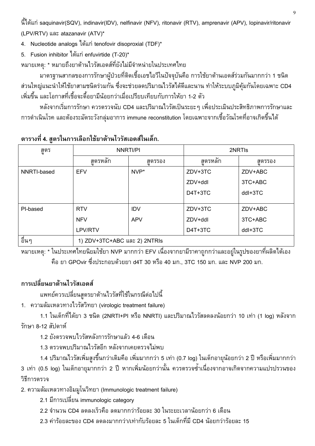นี้ได้แก่ saquinavir(SQV), indinavir(IDV), nelfinavir (NFV), ritonavir (RTV), amprenavir (APV), lopinavir/ritonavir (LPV/RTV) และ atazanavir (ATV)\*

4. Nucleotide analogs ได้แก่ tenofovir disoproxial (TDF)\*

5. Fusion inhibitor ได้แก่ enfuvirtide (T-20)\*

หมายเหตุ: \* หมายถึงยาต้านไวรัสเอดส์ที่ยังไม่มีจำหน่ายในประเทศไทย

มาตรฐานสากลของการรักษาผู้ป่วยที่ติดเชื้อเอชไอวีในปัจจุบันคือ การใช้ยาต้านเอดส์ร่วมกันมากกว่า 1 ชนิด ส่วนใหญ่แนะนำให้ใช้ยาสามชนิดร่วมกัน ซึ่งจะช่วยลดปริมาณไวรัสได้ดีและนาน ทำให้ระบบภูมิคุ้มกันโดยเฉพาะ CD4 ้เพิ่มขึ้น และโอกาสที่เชื้อจะดื้อยามีน้อยกว่าเมื่อเปรียบเทียบกับการให้ยา 1-2 ตัว

หลังจากเริ่มการรักษา ควรตรวจนับ CD4 และปริมาณไวรัสเป็นระยะๆ เพื่อประเมินประสิทธิภาพการรักษาและ ี การดำเนินโรค และต้องระมัดระวังกลุ่มอาการ immune reconstitution โดยเฉพาะจากเชื้อวัณโรคที่อาจเกิดขึ้นได้

| สูตร        | <b>NNRTI/PI</b>              |            | 2NRTI <sub>s</sub> |         |  |
|-------------|------------------------------|------------|--------------------|---------|--|
|             | ے<br>สตรหลัก                 | สตรรอง     | ے<br>สตรหลัก       | สตรรอง  |  |
| NNRTI-based | <b>EFV</b>                   | NVP*       | ZDV+3TC            | ZDV+ABC |  |
|             |                              |            | ZDV+ddl            | 3TC+ABC |  |
|             |                              |            | D4T+3TC            | ddl+3TC |  |
|             |                              |            |                    |         |  |
| PI-based    | <b>RTV</b>                   | <b>IDV</b> | ZDV+3TC            | ZDV+ABC |  |
|             | <b>NFV</b>                   | <b>APV</b> | ZDV+ddl            | 3TC+ABC |  |
|             | LPV/RTV                      |            | D4T+3TC            | ddl+3TC |  |
| อื่นๆ       | 1) ZDV+3TC+ABC และ 2) 2NTRIs |            |                    |         |  |

### ิตารางที่ 4. สูตรในการเลือกใช้ยาต้านไวรัสเอดส์ในเด็ก.

หมายเหตุ: \* ในประเทศไทยนิยมใช้ยา NVP มากกว่า EFV เนื่องจากยามีราคาถูกกว่าและอยู่ในรูปของยาที่ผลิตได้เอง คือ ยา GPOvir ซึ่งประกอบด้วยยา d4T 30 หรือ 40 มก., 3TC 150 มก. และ NVP 200 มก.

## การเปลี่ยนยาต้านไวรัสเอดส์

แพทย์ควรเปลี่ยนสูตรยาต้านไวรัสที่ใช้ในกรณีต่อไปนี้

1. ความล้มเหลวทางไวรัสวิทยา (virologic treatment failure)

1.1 ในเด็กที่ได้ยา 3 ชนิด (2NRTI+PI หรือ NNRTI) และปริมาณไวรัสลดลงน้อยกว่า 10 เท่า (1 log) หลังจาก รักษา 8-12 สัปดาห์

1.2 ยังตรวจพบไวรัสหลังการรักษาแล้ว 4-6 เดือน

1.3 ตรวจพบปริมาณไวรัสอีก หลังจากเคยตรวจไม่พบ

1.4 ปริมาณไวรัสเพิ่มสูงขึ้นกว่าเดิมคือ เพิ่มมากกว่า 5 เท่า (0.7 log) ในเด็กอายุน้อยกว่า 2 ปี หรือเพิ่มมากกว่า 3 เท่า (0.5 log) ในเด็กอายุมากกว่า 2 ปี หากเพิ่มน้อยกว่านั้น ควรตรวจซ้ำเนื่องจากอาจเกิดจากความแปรปรวนของ วิธีการตรวจ

2. ความล้มเหลวทางอิมมูโนวิทยา (Immunologic treatment failure)

2.1 มีการเปลี่ยน immunologic category

- 2.2 จำนวน CD4 ลดลงเร็วคือ ลดมากกว่าร้อยละ 30 ในระยะเวลาน้อยกว่า 6 เดือน
- 2.3 ค่าร้อยละของ CD4 ลดลงมากกว่า/เท่ากับรักยละ 5 ในเด็กที่มี CD4 นักยกว่ารักยละ 15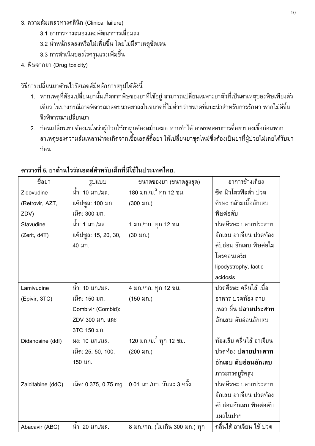- 3. ความล้มเหลวทางคลินิก (Clinical failure)
	- 3.1 อาการทางสมองและพัฒนาการเสื่อมลง
	- 3.2 น้ำหนักลดลงหรือไม่เพิ่มขึ้น โดยไม่มีสาเหตุชัดเจน
	- 3.3 การดำเนินของโรครุนแรงเพิ่มขึ้น
- 4. พิษจากยา (Drug toxicity)

วิธีการเปลี่ยนยาต้านไวรัสเอดส์มีหลักการสรุปได้ดังนี้

- 1. หากเหตุที่ต้องเปลี่ยนยานั้นเกิดจากพิษของยาที่ใช้อยู่ สามารถเปลี่ยนเฉพาะยาตัวที่เป็นสาเหตุของพิษเพียงตัว เดียว ในบางกรณีอาจพิจารณาลดขนาดยาลงในขนาดที่ไม่ต่ำกว่าขนาดที่แนะนำสำหรับการรักษา หากไม่ดีขึ้น จึงพิจารณาเปลี่ยนยา
- 2. ก่อนเปลี่ยนยา ต้องแน่ใจว่าผู้ป่วยใช้ยาถูกต้องสม่ำเสมอ หากทำได้ อาจทดสอบการดื้อยาของเชื้อก่อนหาก สาเหตุของความล้มเหลวน่าจะเกิดจากเชื้อเอดส์ดื้อยา ให้เปลี่ยนยาชุดใหม่ซึ่งต้องเป็นยาที่ผู้ป่วยไม่เคยได้รับมา ก่อน

| ชื่อยา            | รูปแบบ               | ขนาดของยา (ขนาดสูงสุด)                          | อาการข้างเคียง            |
|-------------------|----------------------|-------------------------------------------------|---------------------------|
| Zidovudine        | น้ำ: 10 มก./มล.      | <u>180 มก./ม. <sup>2</sup> ทุก 12 ชม.</u>       | ซีด นิวโตรฟิลต่ำ ปวด      |
| (Retrovir, AZT,   | แค็ปซูล: 100 มก      | (300 มก.)                                       | ศีรษะ กล้ามเนื้ออักเสบ    |
| ZDV)              | เม็ด: 300 มก.        |                                                 | พิษต่อตับ                 |
| Stavudine         | นำ: 1 มก./มล.        | 1 มก./กก. ทุก 12 ชม.                            | ปวดศีรษะ ปลายประสาท       |
| (Zerit, d4T)      | แค็ปซูล: 15, 20, 30, | $(30 \text{ Nn.})$                              | อักเสบ อาเจียน ปวดท้อง    |
|                   | 40 มก.               |                                                 | ตับอ่อน อักเสบ พิษต่อไม   |
|                   |                      |                                                 | โตรคอนเดรีย               |
|                   |                      |                                                 | lipodystrophy, lactic     |
|                   |                      |                                                 | acidosis                  |
| Lamivudine        | นำ: 10 มก./มล.       | 4 มก./กก. ทุก 12 ชม.                            | ปวดศีรษะ คลื่นไส้ เบื่อ   |
| (Epivir, 3TC)     | เม็ด: 150 มก.        | $(150 \text{ Nn.})$                             | อาหาร ปวดท้อง ถ่าย        |
|                   | Combivir (Combid):   |                                                 | เหลว ผื่น ปลายประสาท      |
|                   | ZDV 300 มก. และ      |                                                 | อักเสบ ตับอ่อนอักเสบ      |
|                   | 3TC 150 มก.          |                                                 |                           |
| Didanosine (ddl)  | ผง: 10 มก./มล.       | <u>ี<br/>120 มก./ม. <sup>2</sup> ทุก 12 ชม.</u> | ท้องเสีย คลื่นไส้ อาเจียน |
|                   | เม็ด: 25, 50, 100,   | (200 มก.)                                       | ปวดท้อง ปลายประสาท        |
|                   | 150 มก.              |                                                 | อักเสบ ตับอ่อนอักเสบ      |
|                   |                      |                                                 | ภาวะกรดยูริคสูง           |
| Zalcitabine (ddC) | เม็ด: 0.375, 0.75 mg | 0.01 มก./กก. วันละ 3 ครั้ง                      | ปวดศีรษะ ปลายประสาท       |
|                   |                      |                                                 | อักเสบ อาเจียน ปวดท้อง    |
|                   |                      |                                                 | ตับอ่อนอักเสบ พิษต่อตับ   |
|                   |                      |                                                 | แผลในปาก                  |
| Abacavir (ABC)    | นำ: 20 มก./มล.       | 8 มก./กก. (ไม่เกิน 300 มก.) ทุก                 | คลื่นไส้ อาเจียน ไข้ ปวด  |

# ตารางที่ 5. ยาต้านไวรัสเอดส์สำหรับเด็กที่มีใช้ในประเทศไทย.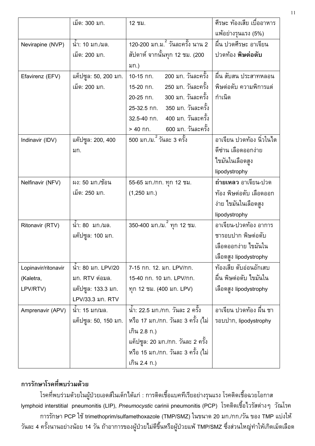|                       | เม็ด: 300 มก.                                            | 12 ชม.                                                                                                                                                                                                        | ์ศีรษะ ท้องเสีย เบื่ออาหาร<br>แพ้อย่างรุนแรง (5%)                                             |  |  |
|-----------------------|----------------------------------------------------------|---------------------------------------------------------------------------------------------------------------------------------------------------------------------------------------------------------------|-----------------------------------------------------------------------------------------------|--|--|
| Nevirapine (NVP)      | นำ: 10 มก./มล.<br>เม็ด: 200 มก.                          | <u>120-200 มก.ม. วันละครั้ง นาน 2</u><br>สัปดาห์ จากนั้นทุก 12 ชม. (200<br>มก.)                                                                                                                               | ผื่น ปวดศีรษะ อาเจียน<br>ปวดท้อง <b>พิษต่อตับ</b>                                             |  |  |
| Efavirenz (EFV)       | แค็ปซูล: 50, 200 มก.<br>เม็ด: 200 มก.                    | 200 มก. วันละครั้ง<br>10-15 กก.<br>250 มก. วันละครั้ง<br>15-20 กก.<br>300 มก. วันละครั้ง<br>20-25 กก.<br>25-32.5 กก. 350 มก. วันละครั้ง<br>32.5-40 กก. 400 มก. วันละครั้ง<br>600 มก. วันละครั้ง<br>$> 40$ กก. | ผื่น สับสน ประสาทหลอน<br>พิษต่อตับ ความพิการแต่<br>กำเนิด                                     |  |  |
| Indinavir (IDV)       | แค๊ปซูล: 200, 400<br>มก.                                 | ี<br>500 มก./ม. วันละ 3 ครั้ง                                                                                                                                                                                 | อาเจียน ปวดท้อง นิ่วในไต<br>ดีซ่าน เลือดออกง่าย<br>ไขมันในเลือดสูง<br>lipodystrophy           |  |  |
| Nelfinavir (NFV)      | ผง: 50 มก./ช้อน<br>เม็ด: 250 มก.                         | 55-65 มก./กก. ทุก 12 ชม.<br>$(1,250 \text{ }\mathsf{N}\Omega)$                                                                                                                                                | ถ่ายเหลว อาเจียน-ปวด<br>ท้อง พิษต่อตับ เลือดออก<br>ง่าย ไขมันในเลือดสูง<br>lipodystrophy      |  |  |
| Ritonavir (RTV)       | นำ: 80 มก./มล.<br>ี แค๊ปซูล: 100 มก.                     | 350-400 มก./ม. ์ ทุก 12 ชม.                                                                                                                                                                                   | อาเจียน-ปวดท้อง อาการ<br>ชารอบปาก พิษต่อตับ<br>เลือดออกง่าย ไขมันใน<br>เลือดสูง lipodystrophy |  |  |
| Lopinavir/ritonavir   | นำ: 80 มก. LPV/20                                        | 7-15 กก. 12. มก. LPV/กก.                                                                                                                                                                                      | ท้องเสีย ตับอ่อนอักเสบ                                                                        |  |  |
| (Kaletra,<br>LPV/RTV) | มก. RTV ต่อมล.<br>แค๊ปซูล: 133.3 มก.<br>LPV/33.3 มก. RTV | 15-40 กก. 10 มก. LPV/กก.<br>ทุก 12 ชม. (400 มก. LPV)                                                                                                                                                          | ผื่น พิษต่อตับ ไขมันใน<br>เลือดสูง lipodystrophy                                              |  |  |
| Amprenavir (APV)      | นำ: 15 มก/มล.<br>แค็ปซูล: 50, 150 มก.                    | น้ำ: 22.5 มก./กก. วันละ 2 ครั้ง<br>หรือ 17 มก./กก. วันละ 3 ครั้ง (ไม่<br>เกิน 2.8 ก.)<br>ู้แค็ปซูล: 20 มก./กก. วันละ 2 ครั้ง<br>หรือ 15 มก./กก. วันละ 3 ครั้ง (ไม่<br>เกิน 2.4 ก.)                            | อาเจียน ปวดท้อง ผื่น ชา<br>รอบปาก, lipodystrophy                                              |  |  |

### การรักษาโรคที่พบร่วมด้วย

โรคที่พบร่วมด้วยในผู้ป่วยเอดส์ในเด็กได้แก่ : การติดเชื้อแบคทีเรียอย่างรุนแรง โรคติดเชื้อฉวยโอกาส lymphoid interstitial pneumonitis (LIP), *Pneumocystic* carinii pneumonitis (PCP) โรคติดเชื้อไวรัสต่างๆ วัณโรค การรักษา PCP ใช้ trimethoprim/sulfamethoxazole (TMP/SMZ) ในขนาด 20 มก./กก./วัน ของ TMP แบ่งให้ ้วันละ 4 ครั้งนานอย่างน้อย 14 วัน ถ้าอาการของผู้ป่วยไม่ดีขึ้นหรือผู้ป่วยแพ้ TMP/SMZ ซึ่งส่วนใหญ่ทำให้เกิดเม็ดเลือด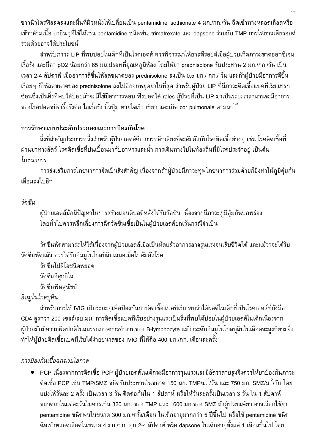ขาวนิวโตรฟิลลดลงและผื่นที่ผิวหนังให้เปลี่ยนเป็น pentamidine isothionate 4 มก./กก./วัน ฉีดเข้าทางหลอดเลือดหรือ ้เข้ากล้ามเนื้อ ยาอื่นๆที่ใช้ได้เช่น pentamidine ชนิดพ่น, trimatrexate และ dapsone ร่วมกับ TMP การให้ยาสเตียรอยด์ ร่วมด้วยอาจได้ประโยชน์

้สำหรับภาวะ LIP ที่พบบ่อยในเด็กที่เป็นโรคเอดส์ ควรพิจารณาให้ยาสตีรอยด์เมื่อผู้ป่วยเกิดภาวะขาดออกซิเจน ้เรื้อรัง และมีค่า pO2 น้อยกว่า 65 มม.ปรอทที่อุณหภูมิห้อง โดยให้ยา prednisolone รับประทาน 2 มก./กก./วัน เป็น ูเวลา 2-4 สัปดาห์ เมื่ออาการดีขึ้นให้ลดขนาดของ prednisolone ลงเป็น 0.5 มก./ กก./ วัน และถ้าผู้ป่วยมีอาการดีขึ้น เรื่อย ๆ ก็ให้ลดขนาดของ prednisolone ลงไปอีกจนหยุดยาในที่สุด สำหรับผู้ป่วย LIP ที่มีภาวะติดเชื้อแบคทีเรียแทรก ่ ซ้อนซึ่งเป็นสิ่งที่พบได้บ่อยมักจะมีไข้มีอาการหอบ ฟังปอดได้ rales ผู้ป่วยที่เป็น LIP มาเป็นระยะเวลานานจะมีอาการ ของโรคปอดชนิดเรื้อรังคือ ไอเรื้อรัง นิ้วปุ้ม หายใจเร็ว เขียว และเกิด cor pulmonale ตามมา<sup>1-3</sup>

# การรักษาแบบประดับประคองและการป้องกันโรค

สิ่งที่สำคัญประการหนึ่งสำหรับผู้ป่วยเอดส์คือ การหลีกเลี่ยงที่จะสัมผัสกับโรคติดเชื้อต่างๆ เช่น โรคติดเชื้อที่ ผ่านมาทางสัตว์ โรคติดเชื้อที่ปนเปื้อนมากับอาหารและน้ำ การเดินทางไปในท้องถิ่นที่มีโรคประจำอยู่ เป็นต้น โกชนาการ

้การส่งเสริมการโภชนาการจัดเป็นสิ่งสำคัญ เนื่องจากถ้าผู้ป่วยมีภาวะทุพโภชนาการร่วมด้วยก็ยิ่งทำให้ภูมิคุ้มกัน เสื่อมลงไปอีก

# วัดซีน

ผู้ป่วยเอดส์มักมีปัญหาในการสร้างแอนติบอดีหลังได้รับวัคซีน เนื่องจากมีภาวะภูมิคุ้มกันบกพร่อง โดยทั่วไปควรหลีกเลี่ยงการฉีดวัคซีนเชื้อเป็นในผู้ป่วยเอดส์ยกเว้นกรณีจำเป็น

้วัคซีนหัดสามารถให้ได้เนื่องจากผู้ป่วยเอดส์เมื่อเป็นหัดแล้วอาการอาจรุนแรงจนเสียชีวิตได้ และแม้ว่าจะได้รับ วัคซีนหัดแล้ว ควรได้รับอิมมโนโกลบิลินเสมอเมื่อไปสัมผัสโรค

วัคซีนโปลิโอชนิดหยอด วัคซีนอีสกอีใส วัคซีนพิษสุนัขบ้า

# อิมมูโนโกลบุลิน

ี สำหรับการให้ IVIG เป็นระยะ ๆเพื่อป้องกันการติดเชื้อแบคทีเรีย พบว่าได้ผลดีในเด็กที่เป็นโรคเอดส์ที่ยังมีค่า CD4 สูงกว่า 200 เซลล์/ลบ.มม. การติดเชื้อแบคทีเรียอย่างรุนแรงเป็นสิ่งที่พบได้บ่อยในผู้ป่วยเอดส์ในเด็กเนื่องจาก ผู้ป่วยมักมีความผิดปกติในสมรรถภาพการทำงานของ B-lymphocyte แม้ว่าระดับอิมมูโนโกลบุลินในเลือดจะสูงก็ตามจึง ทำให้ผู้ป่วยติดเชื้อแบคทีเรียได้ง่ายขนาดของ IVIG ที่ให้คือ 400 มก./กก. เดือนละครั้ง

# การป้องกันเชื้อฉกฉวยโอกาส

● PCP เนื่องจากการติดเชื้อ PCP ผู้ป่วยเอดส์ในเด็กจะมีอาการรุนแรงและมีอัตราตายสูงจึงควรให้ยาป้องกันภาวะ ์ติดเชื้อ PCP เช่น TMP/SMZ ชนิดรับประทานในขนาด 150 มก. TMP/ม. ี้/วัน และ 750 มก. SMZ/ม. ี้/วัน โดย แบ่งให้วันละ 2 ครั้ง เป็นเวลา 3 วัน ติดต่อกันใน 1 สัปดาห์ หรือให้วันละครั้งเป็นเวลา 3 วัน ใน 1 สัปดาห์ ขนาดยาในแต่ละวันไม่ควรเกิน 320 มก. ของ TMP และ 1600 มก.ของ SMZ ถ้าผู้ป่วยแพ้ยา อาจเลือกใช้ยา pentamidine ชนิดพ่นในขนาด 300 มก./ครั้ง/เดือน ในเด็กอายุมากกว่า 5 ปีขึ้นไป หรือใช้ pentamidine ชนิด ้ฉีดเข้าหลอดเลือดในขนาด 4 มก./กก. ทุก 2-4 สัปดาห์ หรือ dapsone ในเด็กอายุตั้งแต่ 1 เดือนขึ้นไป โดย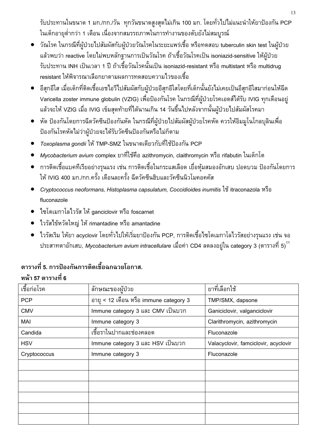้รับประทานในขนาด 1 มก./กก./วัน ทุกวันขนาดสูงสุดไม่เกิน 100 มก. โดยทั่วไปไม่แนะนำให้ยาป้องกัน PCP ในเด็กอายุต่ำกว่า 1 เดือน เนื่องจากสมรรถภาพในการทำงานของตับยังไม่สมบูรณ์

- วัณโรค ในกรณีที่ผู้ป่วยไปสัมผัสกับผู้ป่วยวัณโรคในระยะแพร่เชื้อ หรือทดสอบ tuberculin skin test ในผู้ป่วย ูแล้วพบว่า reactive โดยไม่พบหลักฐานการเป็นวัณโรค ถ้าเชื้อวัณโรคเป็น isoniazid-sensitive ให้ผู้ป่วย รับประทาน INH เป็นเวลา 1 ปี ถ้าเชื้อวัณโรคนั้นเป็น isoniazid-resistant หรือ multistant หรือ multidrug resistant ให้พิจารณาเลือกยาตามผลการทดสอบความไวของเชื้อ
- อีสุกอีใส เมื่อเด็กที่ติดเชื้อเอชไอวีไปสัมผัสกับผู้ป่วยอีสุกอีใสโดยที่เด็กนั้นยังไม่เคยเป็นอีสุกอีใสมาก่อนให้ฉีด Varicella zoster immune globulin (VZIG) เพื่อป้องกันโรค ในกรณีที่ผู้ป่วยโรคเอดส์ได้รับ IVIG ทุกเดือนอยู่ แล้วจะให้ VZIG เมื่อ IVIG เข็มสุดท้ายที่ได้นานเกิน 14 วันขึ้นไปหลังจากนั้นผู้ป่วยไปสัมผัสโรคมา
- หัด ป้องกันโดยการฉีดวัคซีนป้องกันหัด ในกรณีที่ผู้ป่วยไปสัมผัสผู้ป่วยโรคหัด ควรให้อิมมูโนโกลบุลินเพื่อ ป้องกันโรคหัดไม่ว่าผู้ป่วยจะได้รับวัคซีนป้องกันหรือไม่ก็ตาม
- *Toxoplasma qondii* ให้ TMP-SMZ ในขนาดเดียวกับที่ใช้ป้องกัน PCP
- *Mycobacterium avium c*omplex ยาที่ใช้คือ azithromycin, claithromycin หรือ rifabutin ในเด็กโต
- การติดเชื้อแบคทีเรียอย่างรุนแรง เช่น การติดเชื้อในกระแสเลือด เยื่อหุ้มสมองอักเสบ ปอดบวม ป้องกันโดยการ ให้ IVIG 400 มก./กก.ครั้ง เดือนละครั้ง ฉีดวัคซีนฮิบและวัคซีนนิวโมคอคคัส
- Cryptococcus neoformans, Histoplasma capsulatum, Coccidioides inumitis ใช้ itraconazola หรือ fluconazole
- ไซโตเมกาโลไวรัส ให้ ganciclovir หรือ foscarnet
- $\bullet$  ไวรัสไข้หวัดใหญ่ ให้ rimantadine หรือ amantadine
- ไวรัสเริม ให้ยา acyclovir โดยทั่วไปให้เริ่มยาป้องกัน PCP, การติดเชื้อไซโตเมกาโลไวรัสอย่างรุนแรง เช่น จอ ี ประสาทตาอักเสบ, Mycobacterium avium intracellulare เมื่อค่า CD4 ลดลงอยู่ใน category 3 (ตารางที่ 5)  $^{\rm 11}$

# ตารางที่ 5. การป้องกันการติดเชื้อฉกฉวยโอกาส. หน้า 57 ตารางที่ 6

| เชื้อก่อโรค  | ลักษณะของผู้ป่วย                       | ยาที่เลือกใช้                        |
|--------------|----------------------------------------|--------------------------------------|
| <b>PCP</b>   | อายุ < 12 เดือน หรือ immune category 3 | TMP/SMX, dapsone                     |
| <b>CMV</b>   | Immune category 3 และ CMV เป็นบวก      | Ganiciclovir, valganciclovir         |
| MAI          | Immune category 3                      | Clarithromycin, azithromycin         |
| Candida      | เชื้อราในปากและช่องคลอด                | Fluconazole                          |
| <b>HSV</b>   | Immune category 3 และ HSV เป็นบวก      | Valacyclovir, famciclovir, acyclovir |
| Cryptococcus | Immune category 3                      | Fluconazole                          |
|              |                                        |                                      |
|              |                                        |                                      |
|              |                                        |                                      |
|              |                                        |                                      |
|              |                                        |                                      |
|              |                                        |                                      |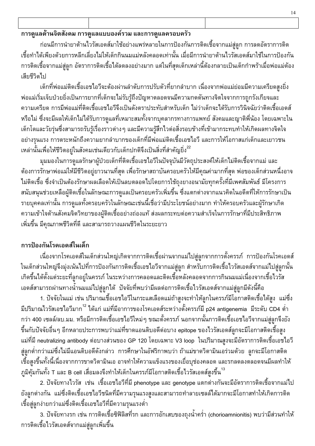# การดูแลด้านจิตสังคม การดูแลแบบองค์รวม และการดูแลครอบครัว

้ก่อนมีการนำยาต้านไวรัสเอดส์มาใช้อย่างแพร่หลายในการป้องกันการติดเชื้อจากแม่สู่ลูก การลดอัตราการติด เชื้อทำได้เพียงด้วยการหลีกเลี่ยงไม่ให้เด็กกินนมแม่หลังคลอดเท่านั้น เมื่อมีการนำยาต้านไวรัสเอดส์มาใช้ในการป้องกัน การติดเชื้อจากแม่สู่ลูก อัตราการติดเชื้อได้ลดลงอย่างมาก แต่ในที่สุดเด็กเหล่านี้ต้องกลายเป็นเด็กกำพร้าเมื่อพ่อแม่ต้อง เสียชีวิตไป

้เด็กที่พ่อแม่ติดเชื้อเอชไอวีจะต้องผ่านลำดับการปรับตัวที่ยากลำบาก เนื่องจากพ่อแม่ย่อมมีความเครียดสูงยิ่ง พ่อแม่เริ่มเจ็บป่วยยิ่งเป็นการยากที่เด็กจะไม่รับรู้ถึงปัญหาตลอดจนมีความกดดันทางจิตใจจากการถูกรังเกียจและ ้ ความเครียด การมีพ่อแม่ที่ติดเชื้อเอชไอวีจึงเป็นดังตราประทับสำหรับเด็ก ไม่ว่าเด็กจะได้รับการวินิจฉัยว่าติดเชื้อเอดส์ ้หรือไม่ ซึ่งจะมีผลให้เด็กไม่ได้รับการดูแลที่เหมาะสมทั้งจากบุคลากรทางการแพทย์ สังคมและญาติพี่น้อง โดยเฉพาะใน เด็กโตและวัยรุ่นซึ่งสามารถรับรู้เรื่องราวต่าง ๆ และมีความรู้สึกไวต่อสิ่งรอบข้างที่เข้ามากระทบทำให้เกิดผลทางจิตใจ ้อย่างรุนแรง การตระหนักถึงความยากลำบากของเด็กที่มีพ่อแม่ติดเชื้อเอชไอวี และการให้โอกาสแก่เด็กและเยาวชน ้เหล่านั้นเพื่อให้ชีวิตอยู่ในสังคมเช่นเดียวกับเด็กปกติจึงเป็นสิ่งที่สำคัญยิ่ง<sup>22</sup>

้มุมมองในการดูแลรักษาผู้ป่วยเด็กที่ติดเชื้อเอชไอวีในปัจจุบันมีวัตถุประสงค์ให้เด็กไม่ติดเชื้อจากแม่ และ ้ต้องการรักษาพ่อแม่ให้มีชีวิตอยู่ยาวนานที่สุด เพื่อรักษาสถาบันครอบครัวให้มีคุณค่ามากที่สุด พ่อของเด็กส่วนหนึ่งอาจ ไม่ติดเชื้อ ซึ่งจำเป็นต้องรักษาผลเลือดให้เป็นลบตลอดไปโดยการใช้ถุงยางอนามัยทุกครั้งที่มีเพศสัมพันธ์ มีโครงการ สนับสนุนช่วยเหลือผู้ติดเชื้อในลักษณะการดูแลเป็นครอบครัวเพิ่มขึ้น ซึ่งแตกต่างจากแนวคิดในอดีตที่ให้การรักษาเป็น รายบุคคลเท่านั้น การดูแลทั้งครอบครัวในลักษณะเช่นนี้เชื่อว่ามีประโยชน์อย่างมาก ทำให้ครอบครัวและผู้รักษาเกิด ้ความเข้าใจด้านสังคมจิตวิทยาของผู้ติดเชื้ออย่างถ่องแท้ ส่งผลกระทบต่อความสำเร็จในการรักษาที่มีประสิทธิภาพ ้เพิ่มขึ้น มีคุณภาพชีวิตที่ดี และสามารถวางแผนชีวิตในระยะยาว

# การป้องกันโรคเอดส์ในเด็ก

เนื่องจากโรคเอดส์ในเด็กส่วนใหญ่เกิดจากการติดเชื้อผ่านจากแม่ไปสู่ลูกจากการตั้งครรภ์ การป้องกันโรคเอดส์ ในเด็กส่วนใหญ่จึงมุ่งเน้นไปที่การป้องกันการติดเชื้อเอชไอวีจากแม่สู่ลูก สำหรับการติดเชื้อไวรัสเอดส์จากแม่ไปสู่ลูกนั้น ้เกิดขึ้นได้ตั้งแต่ระยะที่ลูกอยู่ในครรภ์ ในระหว่างการคลอดและติดเชื้อหลังคลอดจากการกินนมแม่เนื่องจากเชื้อไวรัส ี เอดส์สามารถผ่านทางน้ำนมแม่ไปสู่ลูกได้ บัจจัยที่พบว่ามีผลต่อการติดเชื้อไวรัสเอดส์จากแม่สู่ลูกมีดังนี้คือ

1. ปัจจัยในแม่ เช่น ปริมาณเชื้อเอชไอวีในกระแสเลือดแม่ถ้าสูงจะทำให้ลูกในครรภ์มีโอกาสติดเชื้อได้สูง แม่ซึ่ง ้มีปริมาณไวรัสเอชไอวีมาก<sup>12</sup> ได้แก่ แม่ที่มีอาการของโรคเอดส์ระหว่างตั้งครรภ์มี p24 antigenemia มีระดับ CD4 ต่ำ ึกว่า 400 เซลล์/ลบ.มม. หรือมีการติดเชื้อเอชไอวีใหม่ๆ ขณะตั้งครรภ์ นอกจากนั้นการติดเชื้อเอชไอวีจากแม่สู่ลูกจึงยัง ์ขึ้นกับปัจจัยอื่นๆ อีกหลายประการพบว่าแม่ที่ขาดแอนติบอดีต่อบาง epitope ของไวรัสเอดส์ลูกจะมีโอกาสติดเชื้อสูง ี แม่ที่มี neutralizing antibody ต่อบางส่วนของ GP 120 โดยเฉพาะ V3 loop ในปริมาณสูงจะมีอัตราการติดเชื้อเอชไอวี ่ สู่ลูกต่ำกว่าแม่ซึ่งไม่มีแอนติบอดีดังกล่าว การศึกษาในอัฟริกาพบว่า ถ้าแม่ขาดวิตามินเอร่วมด้วย ลูกจะมีโอกาสติด ้เชื้อสูงขึ้นทั้งนี้เนื่องจากการขาดวิตามินเอ อาจทำให้ความแข็งแรงของเยื่อบุช่องคลอด และรกลดลงตลอดจนมีผลทำให้ ี ภูมิคุ้มกันทั้ง T และ B cell เสื่อมลงจึงทำให้เด็กในครรภ์มีโอกาสติดเชื้อไวรัสเอดส์สูงขึ้น<sup>13</sup>

2. ปัจจัยทางไวรัส เช่น เชื้อเอชไอวีที่มี phenotype และ genotype แตกต่างกันจะมีอัตราการติดเชื้อจากแม่ไป ยังลูกต่างกัน แม่ซึ่งติดเชื้อเอชไอวีชนิดที่มีความรุนแรงสูงและสามารถทำลายเซลล์ได้มากจะมีโอกาสทำให้เกิดการติด เชื้อสู่ลูกง่ายกว่าแม่ซึ่งติดเชื้อเอชไอวีที่มีความรุนแรงต่ำ

่ 3. ปัจจัยทางรก เช่น การติดเชื้อซิฟิลิสที่รก และการอักเสบของถุงน้ำคร่ำ (chorioamnionitis) พบว่ามีส่วนทำให้ การติดเชื้อไวรัสเอดส์จากแม่สู่ลูกเพิ่มขึ้น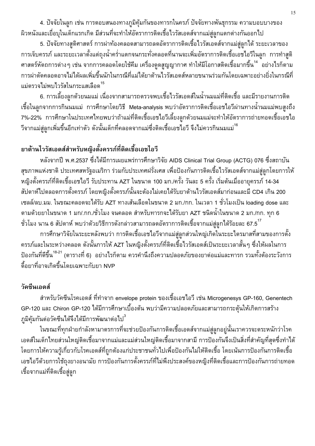4. ปัจจัยในลูก เช่น การตอบสนองทางภูมิคุ้มกันของทารกในครภ์ ปัจจัยทางพันธุกรรม ความบอบบางของ ้ผิวหนังและเยื่อบุในเด็กแรกเกิด มีส่วนที่จะทำให้อัตราการติดเชื้อไวรัสเอดส์จากแม่สู่ลูกแตกต่างกันออกไป

5. ปัจจัยทางสูติศาสตร์ การผ่าท้องคลอดสามารถลดอัตราการติดเชื้อไวรัสเอดส์จากแม่สู่ลูกได้ ระยะเวลาของ การเจ็บครรภ์ และระยะเวลาตั้งแต่ถุงน้ำคร่ำแตกจนกระทั่งคลอดที่นานจะเพิ่มอัตราการติดเชื้อเอชไอวีในลูก การทำสูติ ี ศาสตร์หัตถการต่าง ๆ เช่น จากการคลอดโดยใช้คีม เครื่องดูดสูญญากาศ ทำให้มีโอกาสติดเชื้อมากขึ้น<sup>14</sup> อย่างไรก็ตาม การผ่าตัดคลอดอาจไม่ได้ผลเพิ่มขึ้นนักในกรณีที่แม่ได้ยาต้านไวรัสเอดส์หลายขนานร่วมกันโดยเฉพาะอย่างยิ่งในกรณีที่ แม่ตรวจไม่พบไวรัสในกระแสเลือด

6. การเลี้ยงลูกด้วยนมแม่ เนื่องจากสามารถตรวจพบเชื้อไวรัสเอดส์ในน้ำนมแม่ที่ติดเชื้อ และมีรายงานการติด เชื้อในลูกจากการกินนมแม่ การศึกษาโดยวิธี Meta-analysis พบว่าอัตราการติดเชื้อเอชไอวีผ่านทางน้ำนมแม่พบสูงถึง 7%-22% การศึกษาในประเทศไทยพบว่าถ้าแม่ที่ติดเชื้อเอชไอวีเลี้ยงลูกด้วยนมแม่จะทำให้อัตราการถ่ายทอดเชื้อเอชไอ ้วีจากแม่สู่ลูกเพิ่มขึ้นอีกเท่าตัว ดังนั้นเด็กที่คลอดจากแม่ซึ่งติดเชื้อเอชไอวี จึงไม่ควรกินนมแม่<sup>16</sup>

# ยาต้านไวรัสเอดส์สำหรับหญิงตั้งครรภ์ที่ติดเชื้อเอชไอวี

หลังจากปี พ.ศ.2537 ซึ่งได้มีการเผยแพร่การศึกษาวิจัย AIDS Clinical Trial Group (ACTG) 076 ซึ่งสถาบัน ้สุขภาพแห่งชาติ ประเทศสหรัฐอเมริกา ร่วมกับประเทศฝรั่งเศส เพื่อป้องกันการติดเชื้อไวรัสเอดส์จากแม่สู่ลูกโดยการให้ หญิงตั้งครรภ์ที่ติดเชื้อเอชไอวี รับประทาน AZT ในขนาด 100 มก./ครั้ง วันละ 5 ครั้ง เริ่มต้นเมื่ออายุครรภ์ 14-34 สัปดาห์ไปตลอดการตั้งครรภ์ โดยหญิงตั้งครรภ์นั้นจะต้องไม่เคยได้รับยาต้านไวรัสเอดส์มาก่อนและมี CD4 เกิน 200 ู้เซลล์/ลบ.มม. ในขณะคลอดจะได้รับ AZT ทางเส้นเลือดในขนาด 2 มก./กก. ในเวลา 1 ชั่วโมงเป็น loading dose และ ี่ ตามด้วยยาในขนาด 1 มก/.กก./ชั่วโมง จนคลอด สำหรับทารกจะได้รับยา AZT ชนิดน้ำในขนาด 2 มก./กก. ทุก 6 ู ชั่วโมง นาน 6 สัปดาห์ พบว่าด้วยวิธีการดังกล่าวสามารถลดอัตราการติดเชื้อจากแม่สู่ลูกได้ร้อยละ 67.5<sup>17</sup>

การศึกษาวิจัยในระยะหลังพบว่า การติดเชื้อเอชไอวีจากแม่สู่ลูกส่วนใหญ่เกิดในระยะไตรมาสที่สามของการตั้ง ้ครรภ์และในระหว่างคลอด ดังนั้นการให้ AZT ในหญิงตั้งครรภ์ที่ติดเชื้อไวรัสเอดส์เป็นระยะเวลาสั้นๆ ซึ่งให้ผลในการ ้ป้องกันที่ดีขึ้น <sup>18-21</sup> (ตารางที่ 6) อย่างไรก็ตาม ควรคำนึงถึงความปลอดภัยของยาต่อแม่และทารก รวมทั้งต้องระวังการ ดื้อยาที่อาจเกิดขึ้นโดยเฉพาะกับยา NVP

### วัดซีนเอดส์

ี สำหรับวัคซีนโรคเอดส์ ที่ทำจาก envelope protein ของเชื้อเอชไอวี เช่น Microgenesys GP-160, Genentech GP-120 และ Chiron GP-120 ได้มีการศึกษาเบื้องต้น พบว่ามีความปลอดภัยและสามารถกระตุ้นให้เกิดการสร้าง ภูมิคุ้มกันต่อวัคซีนได้จึงได้มีการพัฒนาต่อไป $^{\rm 3}$ 

ในขณะที่ทุกฝ่ายกำลังหามาตรการที่จะช่วยป้องกันการติดเชื้อเอดส์จากแม่สู่ลูกอยู่นั้นเราควรจะตระหนักว่าโรค เอดส์ในเด็กไทยส่วนใหญ่ติดเชื้อมาจากแม่และแม่ส่วนใหญ่ติดเชื้อมาจากสามี การป้องกันจึงเป็นสิ่งที่สำคัญที่สุดซึ่งทำได้ โดยการให้ความรู้เกี่ยวกับโรคเอดส์ที่ถูกต้องแก่ประชาชนทั่วไปเพื่อป้องกันไม่ให้ติดเชื้อ โดยเน้นการป้องกันการติดเชื้อ เอชไอวีด้วยการใช้ถุงยางอนามัย การป้องกันการตั้งครรภ์ที่ไม่พึงประสงค์ของหญิงที่ติดเชื้อและการป้องกันการถ่ายทอด เชื้อจากแม่ที่ติดเชื้อสู่ลูก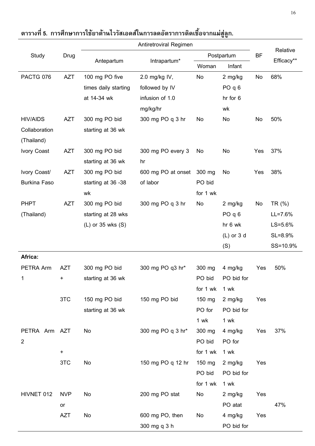|                     |                            | Antiretroviral Regimen |                    |            |                   |           |             |
|---------------------|----------------------------|------------------------|--------------------|------------|-------------------|-----------|-------------|
| Study               | Drug                       | Antepartum             | Intrapartum*       | Postpartum |                   | <b>BF</b> | Relative    |
|                     |                            |                        |                    | Woman      | Infant            |           | Efficacy**  |
| PACTG 076           | <b>AZT</b>                 | 100 mg PO five         | 2.0 mg/kg IV,      | No         | 2 mg/kg           | No        | 68%         |
|                     |                            | times daily starting   | followed by IV     |            | PO <sub>q</sub> 6 |           |             |
|                     |                            | at 14-34 wk            | infusion of 1.0    |            | hr for 6          |           |             |
|                     |                            |                        | mg/kg/hr           |            | wk                |           |             |
| <b>HIV/AIDS</b>     | <b>AZT</b>                 | 300 mg PO bid          | 300 mg PO q 3 hr   | No         | No                | No        | 50%         |
| Collaboration       |                            | starting at 36 wk      |                    |            |                   |           |             |
| (Thailand)          |                            |                        |                    |            |                   |           |             |
| <b>Ivory Coast</b>  | <b>AZT</b>                 | 300 mg PO bid          | 300 mg PO every 3  | No         | No                | Yes       | 37%         |
|                     |                            | starting at 36 wk      | hr                 |            |                   |           |             |
| Ivory Coast/        | <b>AZT</b>                 | 300 mg PO bid          | 600 mg PO at onset | 300 mg     | No                | Yes       | 38%         |
| <b>Burkina Faso</b> |                            | starting at 36 -38     | of labor           | PO bid     |                   |           |             |
|                     |                            | wk                     |                    | for 1 wk   |                   |           |             |
| <b>PHPT</b>         | <b>AZT</b>                 | 300 mg PO bid          | 300 mg PO q 3 hr   | No         | 2 mg/kg           | No        | TR (%)      |
| (Thailand)          |                            | starting at 28 wks     |                    |            | PO <sub>q</sub> 6 |           | $LL = 7.6%$ |
|                     |                            | $(L)$ or 35 wks $(S)$  |                    |            | hr 6 wk           |           | LS=5.6%     |
|                     |                            |                        |                    |            | $(L)$ or 3 d      |           | SL=8.9%     |
|                     |                            |                        |                    |            | (S)               |           | SS=10.9%    |
| Africa:             |                            |                        |                    |            |                   |           |             |
| PETRA Arm           | <b>AZT</b>                 | 300 mg PO bid          | 300 mg PO q3 hr*   | 300 mg     | 4 mg/kg           | Yes       | 50%         |
|                     |                            | starting at 36 wk      |                    | PO bid     | PO bid for        |           |             |
|                     |                            |                        |                    | for 1 wk   | 1 wk              |           |             |
|                     | 3TC                        | 150 mg PO bid          | 150 mg PO bid      | 150 mg     | 2 mg/kg           | Yes       |             |
|                     |                            | starting at 36 wk      |                    | PO for     | PO bid for        |           |             |
|                     |                            |                        |                    | 1 wk       | 1 wk              |           |             |
| PETRA Arm AZT       |                            | No                     | 300 mg PO q 3 hr*  | 300 mg     | 4 mg/kg           | Yes       | 37%         |
| $\overline{2}$      |                            |                        |                    | PO bid     | PO for            |           |             |
|                     | $\ddot{}$                  |                        |                    | for 1 wk   | 1 wk              |           |             |
|                     | 3TC                        | No                     | 150 mg PO q 12 hr  | 150 mg     | 2 mg/kg           | Yes       |             |
|                     |                            |                        |                    | PO bid     | PO bid for        |           |             |
|                     |                            |                        |                    | for 1 wk   | 1 wk              |           |             |
| HIVNET 012          | <b>NVP</b>                 | No                     | 200 mg PO stat     | No         | 2 mg/kg           | Yes       |             |
|                     | $\mathop{\sf or}\nolimits$ |                        |                    |            | PO atat           |           | 47%         |
|                     | <b>AZT</b>                 | No                     | 600 mg PO, then    | No         | 4 mg/kg           | Yes       |             |
|                     |                            |                        | 300 mg q 3 h       |            | PO bid for        |           |             |

#### ตารางที่ 5. การศึกษาการใช้ยาต้านไวรัสเอดส์ในการลดอัตราการติดเชื้อจากแม่สู่ลูก.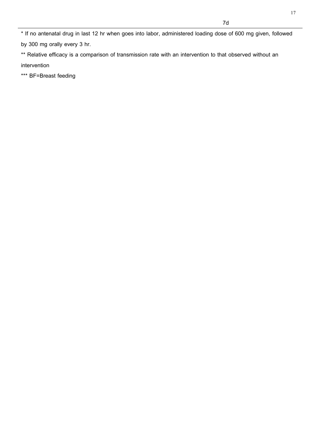\* If no antenatal drug in last 12 hr when goes into labor, administered loading dose of 600 mg given, followed by 300 mg orally every 3 hr.

\*\* Relative efficacy is a comparison of transmission rate with an intervention to that observed without an intervention

\*\*\* BF=Breast feeding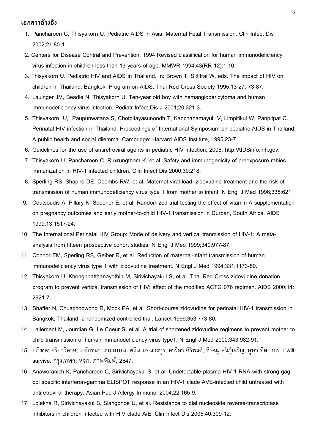#### เอกสารอ้างอิง

- 1. Pancharoen C, Thisyakorn U. Pediatric AIDS in Asia: Maternal Fetal Transmission. Clin Infect Dis 2002;21:80-1.
- 2. Centers for Disease Contral and Prevention. 1994 Revised classification for human immunodeficiency virus infection in children less than 13 years of age. MMWR 1994;43(RR-12):1-10.
- 3. Thisyakorn U. Pediatric HIV and AIDS in Thailand. In: Brown T, Sittitrai W, eds. The impact of HIV on children in Thailand. Bangkok: Program on AIDS, Thai Red Cross Society 1995:13-27, 73-87.
- 4. Lauinger JM, Beadle N, Thisyakorn U. Ten-year old boy with hemangiopericytoma and human immunodeficiency virus infection. Pediatr Infect Dis J 2001;20:321-3.
- 5. Thisyakorn U, Paupunwatana S, Chotpitayasunondh T, Kanchanamayul V, Limpitikul W, Panpitpat C. Perinatal HIV infection in Thailand. Proceedings of International Symposium on pediatric AIDS in Thailand: A public health and social dilemma. Cambridge: Harvard AIDS Institute, 1995:23-7.
- 6. Guidelines for the use of antiretroviral agents in pediatric HIV infection, 2005. http:/AIDSinfo.nih.gov.
- 7. Thisyakorn U, Pancharoen C, Ruxrungtham K, et al. Safety and immunogenicity of preexposure rabies immunization in HIV-1 infected children. Clin Infect Dis 2000;30:218.
- 8. Sperling RS, Shapiro DE, Coombs RW, et al. Maternal viral load, zidovudine treatment and the risk of transmission of human immunodeficiency virus type 1 from mother to infant. N Engl J Med 1996;335:621.
- 9. Coutsoudis A, Pillary K, Spooner E, et al. Randomized trial testing the effect of vitamin A supplementation on pregnancy outcomes and early mother-to-child HIV-1 transmission in Durban, South Africa. AIDS 1999;13:1517-24.
- 10. The International Perinatal HIV Group: Mode of delivery and vertical tranmission of HIV-1: A metaanalysis from fifteen prospective cohort studies. N Engl J Med 1999;340:977-87.
- 11. Connor EM, Sperling RS, Gelber R, et al. Reduction of maternal-infant transmission of human immunodeficiency virus type 1 with zidovudine treatment. N Engl J Med 1994;331:1173-80.
- 12. Thisyakorn U, Khongphatthanayothin M, Sirivichayakul S, et al. Thai Red Cross zidovudine donation program to prevent vertical transmission of HIV: effect of the modified ACTG 076 regimen. AIDS 2000;14: 2921-7.
- 13. Shaffer N, Chuachoowong R, Mock PA, et al. Short-course zidovudine for perinatal HIV-1 transmission in Bangkok, Thailand: a randomized controlled trial. Lancet 1999;353:773-80.
- 14. Lallement M, Jourdian G, Le Coeur S, et al. A trial of shortened zidovudine regimens to prevent mother to child transmission of human immunodeficiency virus type1. N Engl J Med 2000;343:982-91.
- 15. อภิชาต จริยาวิลาศ, หทัยชนก งามเกษม, หลิน มทนางกูร, อารีดา ศิริพงศ์, ชิษณุ พันธุ์เจริญ, อุษา ทิสยากร. I will survive. กรุงเทพฯ: หจก. ภาพพิมพ์, 2547.
- 16. Anaworanich K, Pancharoen C, Sirivichayakul S, et al. Undetectable plasma HIV-1 RNA with strong gagpol specific interferon-gamma ELISPOT response in an HIV-1 clade AVE-infected child untreated with antiretroviral therapy. Asian Pac J Allergy Immunol 2004;22:165-9.
- 17. Lolekha R, Sirivichayakul S, Siangphoe U, et al. Resistance to dial nucleoside reverse-transcriptase inhibitors in children infected with HIV clade A/E. Clin Infect Dis 2005;40:309-12.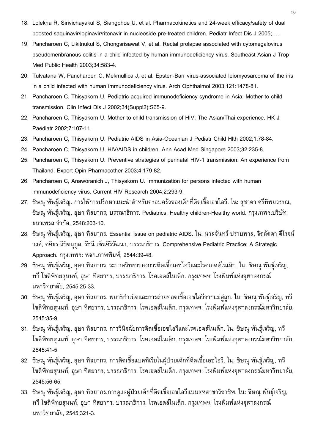- 18. Lolekha R, Sirivichayakul S, Siangphoe U, et al. Pharmacokinetics and 24-week efficacy/safety of dual boosted saquinavir/lopinavir/ritonavir in nucleoside pre-treated children. Pediatr Infect Dis J 2005;..
- 19. Pancharoen C, Likitnukul S, Chongsrisawat V, et al. Rectal prolapse associated with cytomegalovirus pseudomenbranous colitis in a child infected by human immunodeficiency virus. Southeast Asian J Trop Med Public Health 2003;34:583-4.
- 20. Tulvatana W, Pancharoen C, Mekmullica J, et al. Epsten-Barr virus-associated leiomyosarcoma of the iris in a child infected with human immunodeficiency virus. Arch Ophthalmol 2003;121:1478-81.
- 21. Pancharoen C, Thisyakorn U. Pediatric acquired immunodeficiency syndrome in Asia: Mother-to child transmission. Clin Infect Dis J 2002;34(Suppl2):S65-9.
- 22. Pancharoen C, Thisyakorn U. Mother-to-child transmission of HIV: The Asian/Thai experience. HK J Paediatr 2002;7:107-11.
- 23. Pancharoen C, Thisyakorn U. Pediatric AIDS in Asia-Oceanian J Pediatr Child Hlth 2002;1:78-84.
- 24. Pancharoen C, Thisyakorn U. HIV/AIDS in children. Ann Acad Med Singapore 2003;32:235-8.
- 25. Pancharoen C, Thisyakorn U. Preventive strategies of perinatal HIV-1 transmission: An experience from Thailand. Expert Opin Pharmacother 2003;4:179-82.
- 26. Pancharoen C, Anaworanich J, Thisyakorn U. Immunization for persons infected with human immunodeficiency virus. Current HIV Research 2004;2:293-9.
- 27. ชิษณุ พันธุ์เจริญ. การให้การปรึกษาแนะนำสำหรับครอบครัวของเด็กที่ติดเชื้อเอชไอวี. ใน: สุชาดา ศรีทิพยวรรณ, ชิษณุ พันธุ์เจริญ, อุษา ทิสยากร, บรรณาธิการ. Pediatrics: Healthy children-Healthy world. กรุงเทพฯ:บริษัท ธนาเพรส จำกัด, 2548:203-10.
- 28. ชิษณุ พันธุ์เจริญ, อุษา ทิสยากร. Essential issue on pediatric AIDS. ใน: นวลจันทร์ ปราบพาล, จิตลัดดา ดีโรจน์ วงศ์, ศศิธร ลิขิตนุกูล, รัชนี เซ็นศิริวัฒนา, บรรณาธิการ. Comprehensive Pediatric Practice: A Strategic Approach. กรุงเทพฯ: หจก.ภาพพิมพ์, 2544:39-48.
- 29. ชิษณุ พันธุ์เจริญ, อุษา ทิสยากร. ระบาดวิทยาของการติดเชื้อเอชไอวีและโรคเอดส์ในเด็ก. ใน: ชิษณุ พันธุ์เจริญ, ทวี โชติพิทยสุนนท์, อุษา ทิสยากร, บรรณาธิการ. โรคเอดส์ในเด็ก. กรุงเทพฯ: โรงพิมพ์แห่งจุฬาลงกรณ์ มหาวิทยาลัย, 2545:25-33.
- 30. ชิษณุ พันธุ์เจริญ, อุษา ทิสยากร. พยาธิกำเนิดและการถ่ายทอดเชื้อเอชไอวีจากแม่สู่ลูก. ใน: ชิษณุ พันธุ์เจริญ, ทวี โชติพิทยสุนนท์, อุษา ทิสยากร, บรรณาธิการ. โรคเอดส์ในเด็ก. กรุงเทพฯ: โรงพิมพ์แห่งจุฬาลงกรณ์มหาวิทยาลัย, 2545:35-9.
- 31. ชิษณุ พันธุ์เจริญ, อุษา ทิสยากร. การวินิจฉัยการติดเชื้อเอชไอวีและโรคเอดส์ในเด็ก. ใน: ชิษณุ พันธุ์เจริญ, ทวี โชติพิทยสุนนท์, อุษา ทิสยากร, บรรณาธิการ. โรคเอดส์ในเด็ก. กรุงเทพฯ: โรงพิมพ์แห่งจุฬาลงกรณ์มหาวิทยาลัย, 2545:41-5.
- 32. ชิษณุ พันธุ์เจริญ, อุษา ทิสยากร. การติดเชื้อแบคทีเรียในผู้ป่วยเด็กที่ติดเชื้อเอชไอวี. ใน: ชิษณุ พันธุ์เจริญ, ทวี โชติพิทยสุนนท์, อุษา ทิสยากร, บรรณาธิการ. โรคเอดส์ในเด็ก. กรุงเทพฯ: โรงพิมพ์แห่งจุฬาลงกรณ์มหาวิทยาลัย, 2545:56-65.
- 33. ชิษณุ พันธุ์เจริญ, อุษา ทิสยากร.การดูแลผู้ป่วยเด็กที่ติดเชื้อเอชไอวีแบบสหสาขาวิชาชีพ. ใน: ชิษณุ พันธุ์เจริญ, ทวี โชติพิทยสุนนท์, อุษา ทิสยากร, บรรณาธิการ. โรคเอดส์ในเด็ก. กรุงเทพฯ: โรงพิมพ์แห่งจุฬาลงกรณ์ มหาวิทยาลัย, 2545:321-3.